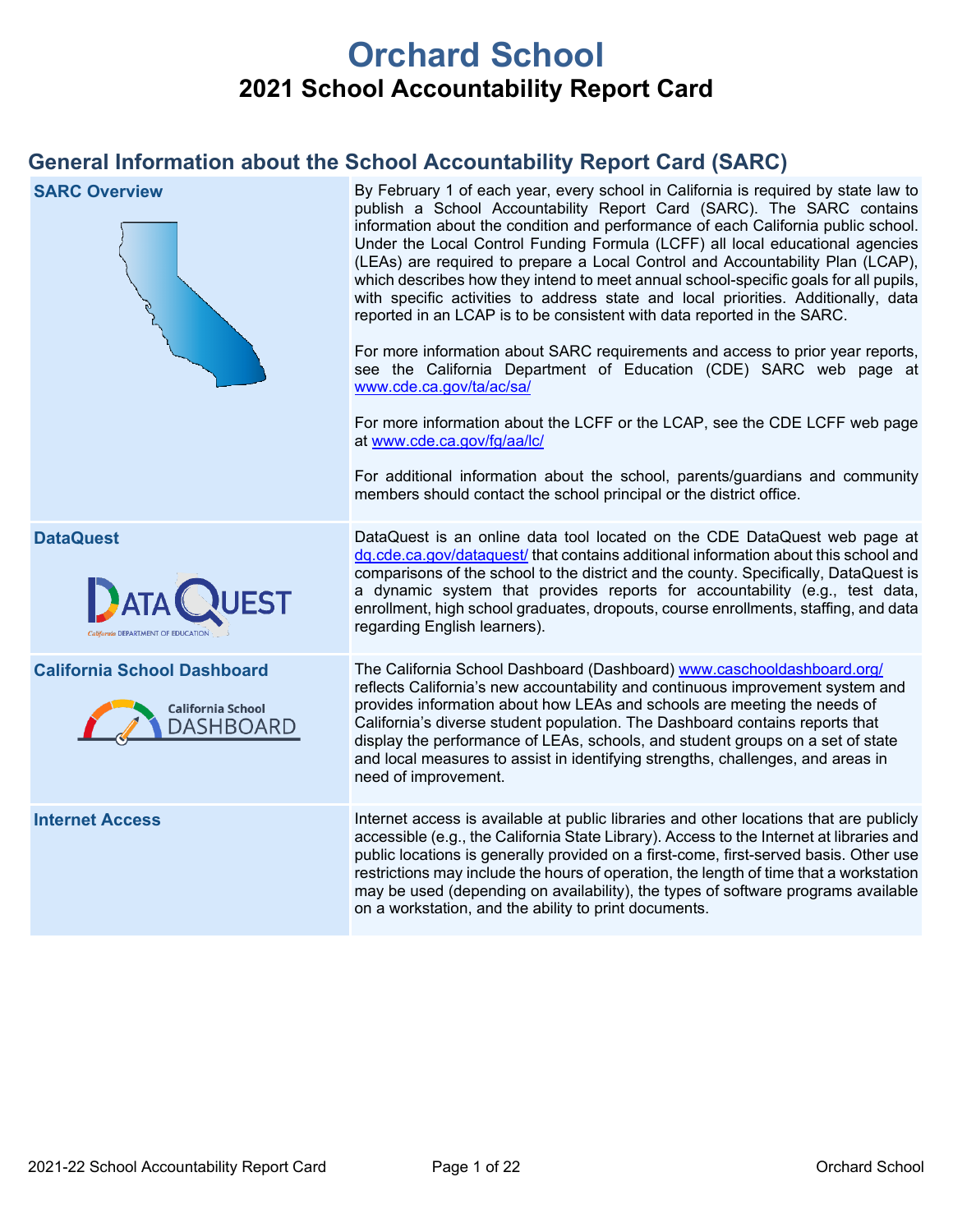# **Orchard School 2021 School Accountability Report Card**

# **General Information about the School Accountability Report Card (SARC)**

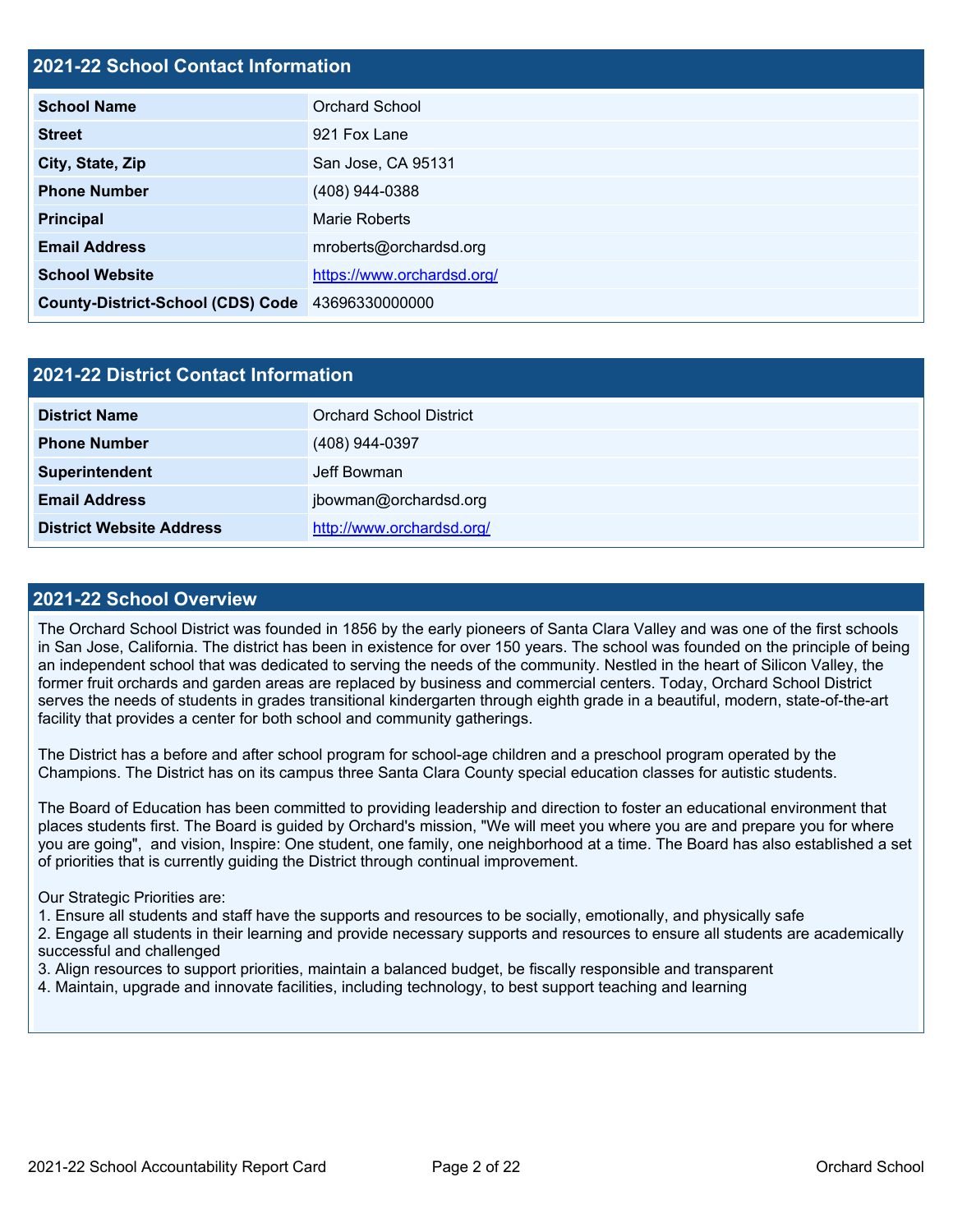#### **2021-22 School Contact Information**

| <b>School Name</b>                       | Orchard School             |
|------------------------------------------|----------------------------|
| <b>Street</b>                            | 921 Fox Lane               |
| City, State, Zip                         | San Jose, CA 95131         |
| <b>Phone Number</b>                      | (408) 944-0388             |
| <b>Principal</b>                         | Marie Roberts              |
| <b>Email Address</b>                     | mroberts@orchardsd.org     |
| <b>School Website</b>                    | https://www.orchardsd.org/ |
| <b>County-District-School (CDS) Code</b> | 43696330000000             |

| 2021-22 District Contact Information |                                |  |  |  |
|--------------------------------------|--------------------------------|--|--|--|
| <b>District Name</b>                 | <b>Orchard School District</b> |  |  |  |
| <b>Phone Number</b>                  | (408) 944-0397                 |  |  |  |
| Superintendent                       | Jeff Bowman                    |  |  |  |
| <b>Email Address</b>                 | jbowman@orchardsd.org          |  |  |  |
| <b>District Website Address</b>      | http://www.orchardsd.org/      |  |  |  |

#### **2021-22 School Overview**

The Orchard School District was founded in 1856 by the early pioneers of Santa Clara Valley and was one of the first schools in San Jose, California. The district has been in existence for over 150 years. The school was founded on the principle of being an independent school that was dedicated to serving the needs of the community. Nestled in the heart of Silicon Valley, the former fruit orchards and garden areas are replaced by business and commercial centers. Today, Orchard School District serves the needs of students in grades transitional kindergarten through eighth grade in a beautiful, modern, state-of-the-art facility that provides a center for both school and community gatherings.

The District has a before and after school program for school-age children and a preschool program operated by the Champions. The District has on its campus three Santa Clara County special education classes for autistic students.

The Board of Education has been committed to providing leadership and direction to foster an educational environment that places students first. The Board is guided by Orchard's mission, "We will meet you where you are and prepare you for where you are going", and vision, Inspire: One student, one family, one neighborhood at a time. The Board has also established a set of priorities that is currently guiding the District through continual improvement.

#### Our Strategic Priorities are:

1. Ensure all students and staff have the supports and resources to be socially, emotionally, and physically safe

2. Engage all students in their learning and provide necessary supports and resources to ensure all students are academically successful and challenged

3. Align resources to support priorities, maintain a balanced budget, be fiscally responsible and transparent

4. Maintain, upgrade and innovate facilities, including technology, to best support teaching and learning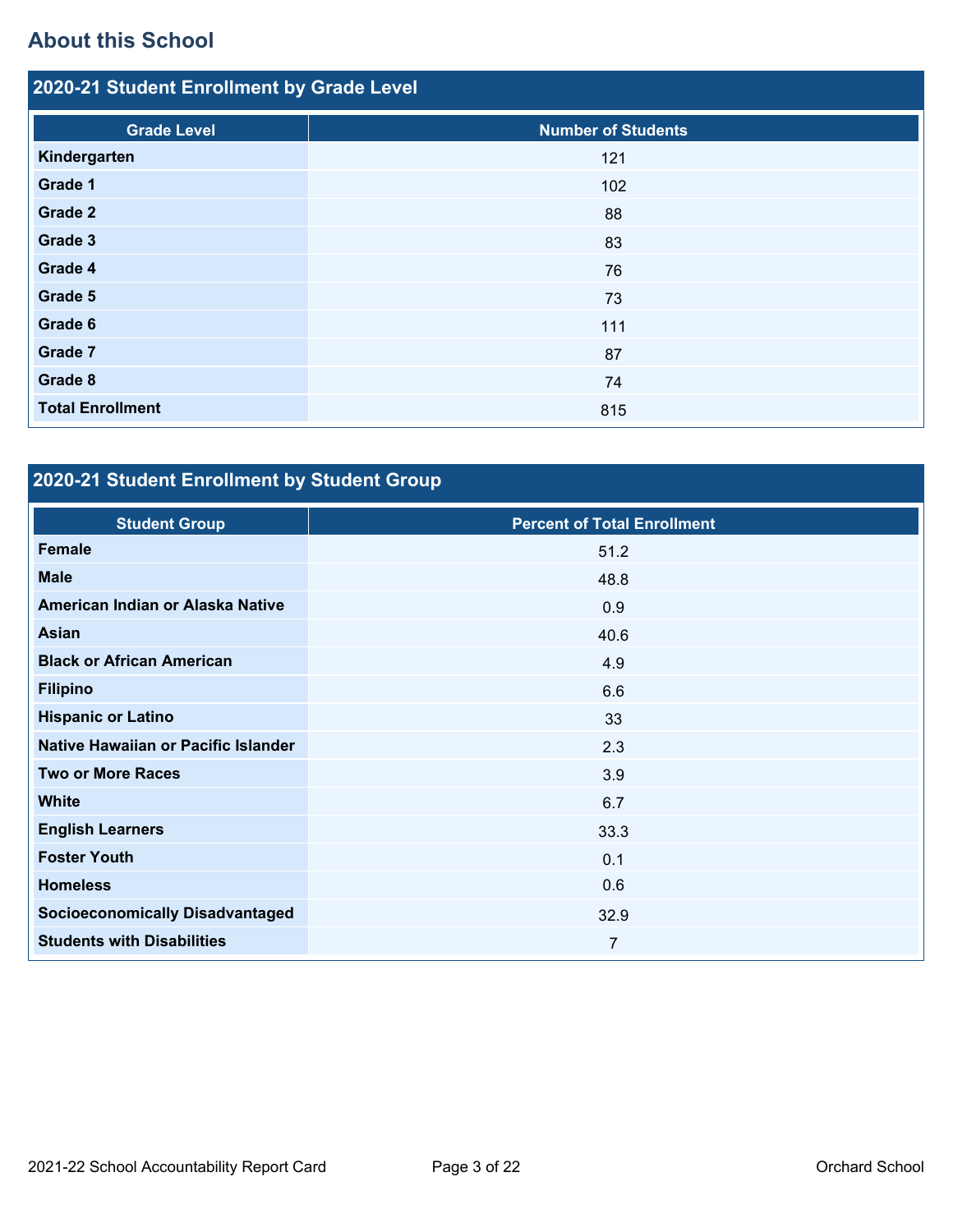# **About this School**

| 2020-21 Student Enrollment by Grade Level |                           |  |  |  |  |
|-------------------------------------------|---------------------------|--|--|--|--|
| <b>Grade Level</b>                        | <b>Number of Students</b> |  |  |  |  |
| Kindergarten                              | 121                       |  |  |  |  |
| Grade 1                                   | 102                       |  |  |  |  |
| Grade 2                                   | 88                        |  |  |  |  |
| Grade 3                                   | 83                        |  |  |  |  |
| Grade 4                                   | 76                        |  |  |  |  |
| Grade 5                                   | 73                        |  |  |  |  |
| Grade 6                                   | 111                       |  |  |  |  |
| Grade 7                                   | 87                        |  |  |  |  |
| Grade 8                                   | 74                        |  |  |  |  |
| <b>Total Enrollment</b>                   | 815                       |  |  |  |  |

# **2020-21 Student Enrollment by Student Group**

| <b>Student Group</b>                   | <b>Percent of Total Enrollment</b> |
|----------------------------------------|------------------------------------|
| Female                                 | 51.2                               |
| <b>Male</b>                            | 48.8                               |
| American Indian or Alaska Native       | 0.9                                |
| Asian                                  | 40.6                               |
| <b>Black or African American</b>       | 4.9                                |
| <b>Filipino</b>                        | 6.6                                |
| <b>Hispanic or Latino</b>              | 33                                 |
| Native Hawaiian or Pacific Islander    | 2.3                                |
| <b>Two or More Races</b>               | 3.9                                |
| <b>White</b>                           | 6.7                                |
| <b>English Learners</b>                | 33.3                               |
| <b>Foster Youth</b>                    | 0.1                                |
| <b>Homeless</b>                        | 0.6                                |
| <b>Socioeconomically Disadvantaged</b> | 32.9                               |
| <b>Students with Disabilities</b>      | $\overline{7}$                     |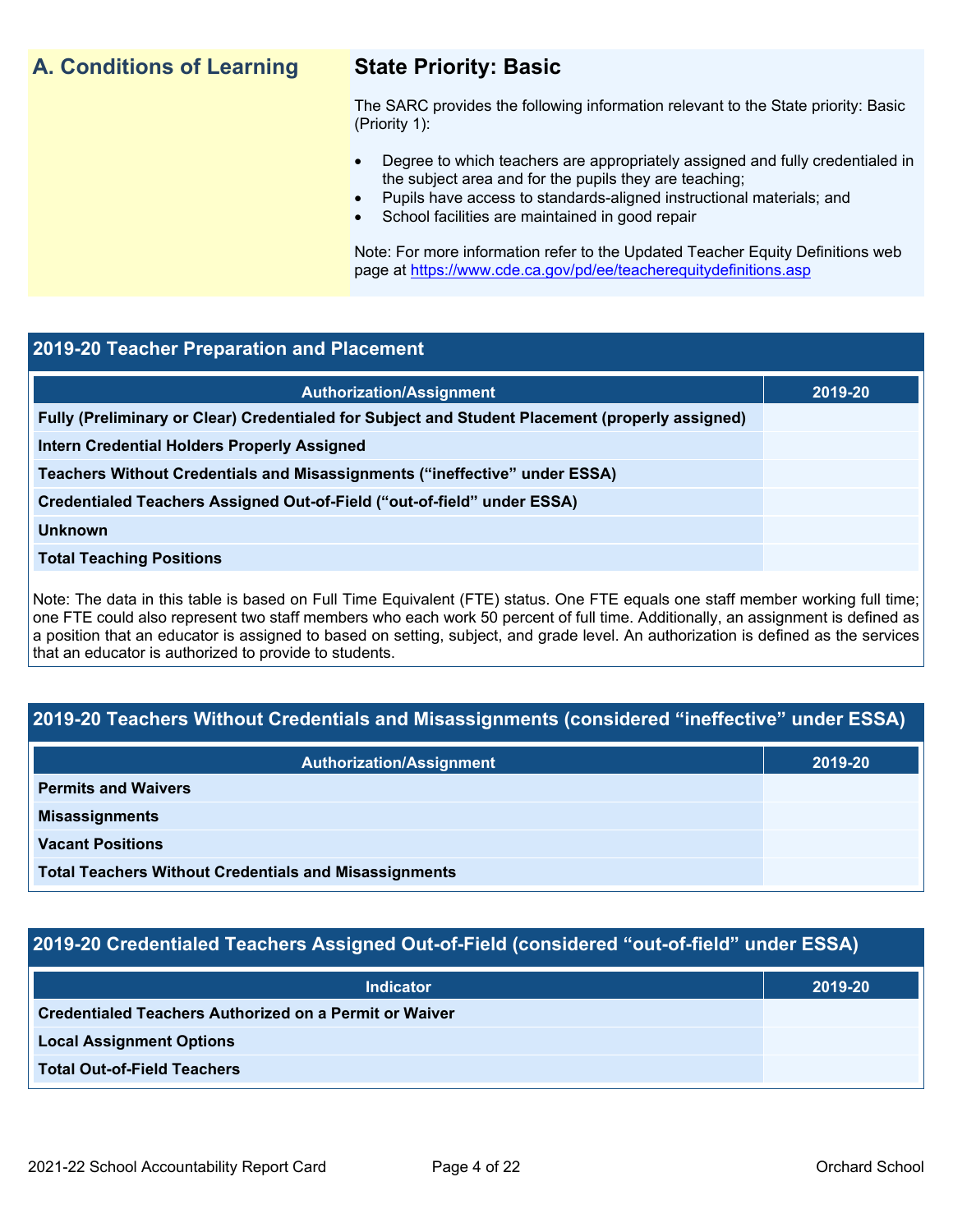## **A. Conditions of Learning State Priority: Basic**

The SARC provides the following information relevant to the State priority: Basic (Priority 1):

- Degree to which teachers are appropriately assigned and fully credentialed in the subject area and for the pupils they are teaching;
	- Pupils have access to standards-aligned instructional materials; and
- School facilities are maintained in good repair

Note: For more information refer to the Updated Teacher Equity Definitions web page at<https://www.cde.ca.gov/pd/ee/teacherequitydefinitions.asp>

#### **2019-20 Teacher Preparation and Placement**

| <b>Authorization/Assignment</b>                                                                 | 2019-20 |
|-------------------------------------------------------------------------------------------------|---------|
| Fully (Preliminary or Clear) Credentialed for Subject and Student Placement (properly assigned) |         |
| <b>Intern Credential Holders Properly Assigned</b>                                              |         |
| Teachers Without Credentials and Misassignments ("ineffective" under ESSA)                      |         |
| Credentialed Teachers Assigned Out-of-Field ("out-of-field" under ESSA)                         |         |
| <b>Unknown</b>                                                                                  |         |
| <b>Total Teaching Positions</b>                                                                 |         |
|                                                                                                 |         |

Note: The data in this table is based on Full Time Equivalent (FTE) status. One FTE equals one staff member working full time; one FTE could also represent two staff members who each work 50 percent of full time. Additionally, an assignment is defined as a position that an educator is assigned to based on setting, subject, and grade level. An authorization is defined as the services that an educator is authorized to provide to students.

### **2019-20 Teachers Without Credentials and Misassignments (considered "ineffective" under ESSA)**

| <b>Authorization/Assignment</b>                              | 2019-20 |
|--------------------------------------------------------------|---------|
| <b>Permits and Waivers</b>                                   |         |
| <b>Misassignments</b>                                        |         |
| <b>Vacant Positions</b>                                      |         |
| <b>Total Teachers Without Credentials and Misassignments</b> |         |

### **2019-20 Credentialed Teachers Assigned Out-of-Field (considered "out-of-field" under ESSA)**

| <b>Indicator</b>                                              | 2019-20 |
|---------------------------------------------------------------|---------|
| <b>Credentialed Teachers Authorized on a Permit or Waiver</b> |         |
| <b>Local Assignment Options</b>                               |         |
| <b>Total Out-of-Field Teachers</b>                            |         |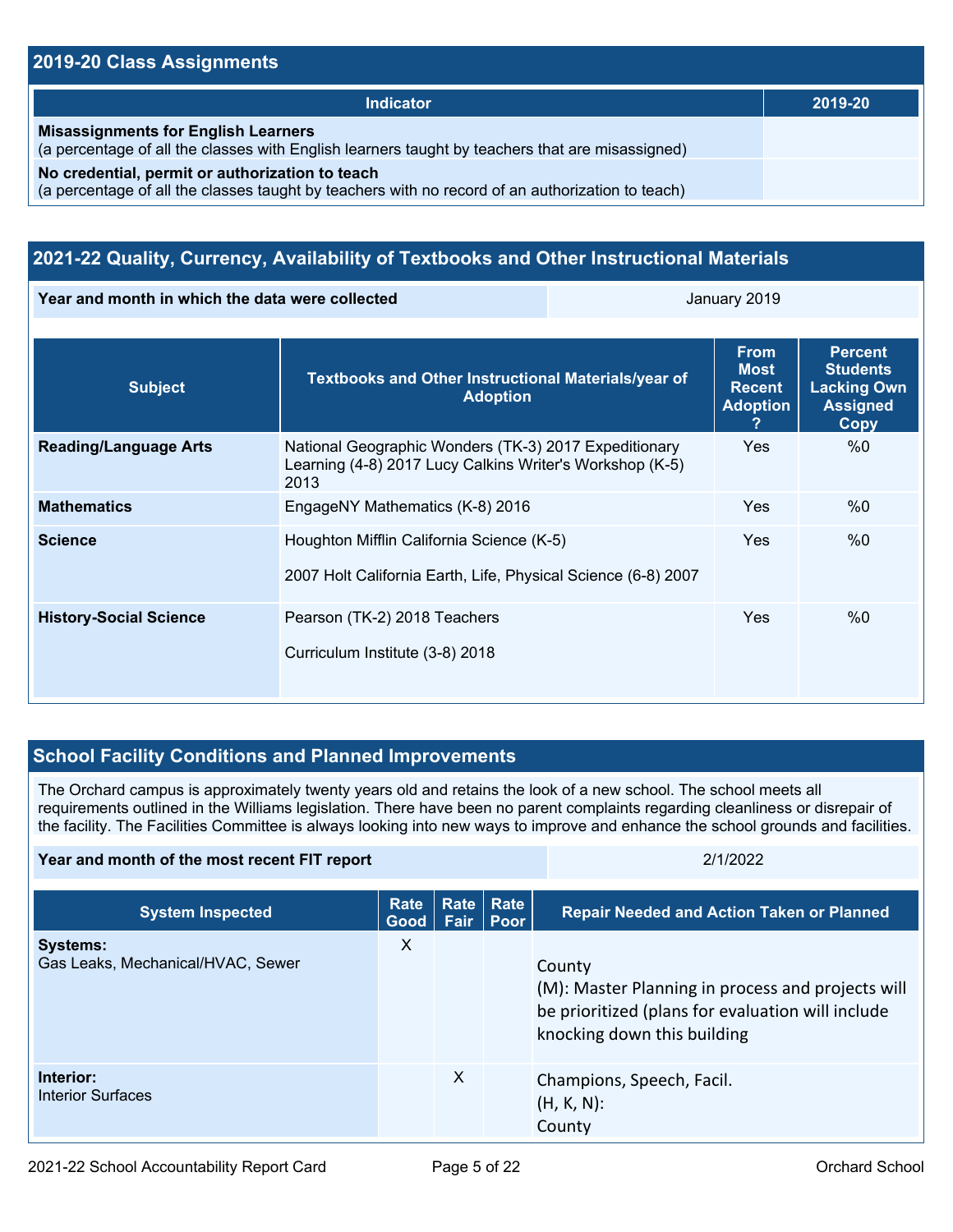#### **2019-20 Class Assignments**

| Indicator                                                                                                                                           | 2019-20 |
|-----------------------------------------------------------------------------------------------------------------------------------------------------|---------|
| <b>Misassignments for English Learners</b><br>(a percentage of all the classes with English learners taught by teachers that are misassigned)       |         |
| No credential, permit or authorization to teach<br>(a percentage of all the classes taught by teachers with no record of an authorization to teach) |         |

## **2021-22 Quality, Currency, Availability of Textbooks and Other Instructional Materials**

**Year and month in which the data were collected January 2019** January 2019

| <b>Subject</b>                | Textbooks and Other Instructional Materials/year of<br><b>Adoption</b>                                                    | <b>From</b><br><b>Most</b><br><b>Recent</b><br><b>Adoption</b><br>2 | <b>Percent</b><br><b>Students</b><br><b>Lacking Own</b><br><b>Assigned</b><br>Copy |
|-------------------------------|---------------------------------------------------------------------------------------------------------------------------|---------------------------------------------------------------------|------------------------------------------------------------------------------------|
| <b>Reading/Language Arts</b>  | National Geographic Wonders (TK-3) 2017 Expeditionary<br>Learning (4-8) 2017 Lucy Calkins Writer's Workshop (K-5)<br>2013 | <b>Yes</b>                                                          | %0                                                                                 |
| <b>Mathematics</b>            | EngageNY Mathematics (K-8) 2016                                                                                           | <b>Yes</b>                                                          | %0                                                                                 |
| <b>Science</b>                | Houghton Mifflin California Science (K-5)<br>2007 Holt California Earth, Life, Physical Science (6-8) 2007                | <b>Yes</b>                                                          | %0                                                                                 |
| <b>History-Social Science</b> | Pearson (TK-2) 2018 Teachers<br>Curriculum Institute (3-8) 2018                                                           | <b>Yes</b>                                                          | %0                                                                                 |

### **School Facility Conditions and Planned Improvements**

The Orchard campus is approximately twenty years old and retains the look of a new school. The school meets all requirements outlined in the Williams legislation. There have been no parent complaints regarding cleanliness or disrepair of the facility. The Facilities Committee is always looking into new ways to improve and enhance the school grounds and facilities.

**Year and month of the most recent FIT report** 2/1/2022

| <b>System Inspected</b>                              | Rate<br>Good | <b>Rate</b><br><b>Fair</b> | Rate<br><b>Poor</b> | <b>Repair Needed and Action Taken or Planned</b>                                                                                                |
|------------------------------------------------------|--------------|----------------------------|---------------------|-------------------------------------------------------------------------------------------------------------------------------------------------|
| <b>Systems:</b><br>Gas Leaks, Mechanical/HVAC, Sewer | X            |                            |                     | County<br>(M): Master Planning in process and projects will<br>be prioritized (plans for evaluation will include<br>knocking down this building |
| Interior:<br><b>Interior Surfaces</b>                |              | X                          |                     | Champions, Speech, Facil.<br>$(H, K, N)$ :<br>County                                                                                            |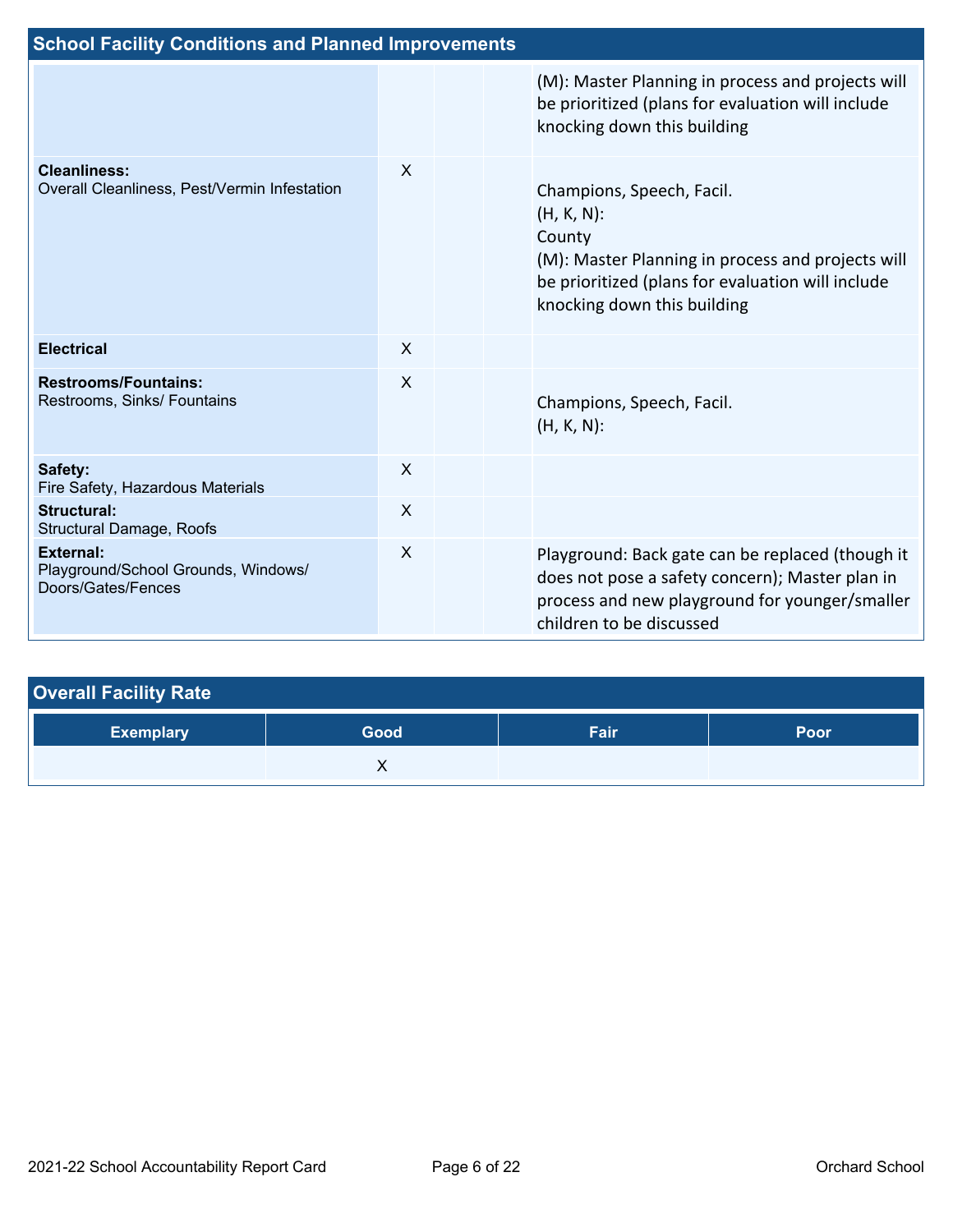| <b>School Facility Conditions and Planned Improvements</b>                    |                           |  |                                                                                                                                                                                               |  |  |
|-------------------------------------------------------------------------------|---------------------------|--|-----------------------------------------------------------------------------------------------------------------------------------------------------------------------------------------------|--|--|
|                                                                               |                           |  | (M): Master Planning in process and projects will<br>be prioritized (plans for evaluation will include<br>knocking down this building                                                         |  |  |
| <b>Cleanliness:</b><br>Overall Cleanliness, Pest/Vermin Infestation           | $\boldsymbol{\mathsf{X}}$ |  | Champions, Speech, Facil.<br>$(H, K, N)$ :<br>County<br>(M): Master Planning in process and projects will<br>be prioritized (plans for evaluation will include<br>knocking down this building |  |  |
| <b>Electrical</b>                                                             | $\boldsymbol{X}$          |  |                                                                                                                                                                                               |  |  |
| <b>Restrooms/Fountains:</b><br>Restrooms, Sinks/ Fountains                    | $\sf X$                   |  | Champions, Speech, Facil.<br>$(H, K, N)$ :                                                                                                                                                    |  |  |
| Safety:<br>Fire Safety, Hazardous Materials                                   | $\boldsymbol{X}$          |  |                                                                                                                                                                                               |  |  |
| <b>Structural:</b><br><b>Structural Damage, Roofs</b>                         | $\sf X$                   |  |                                                                                                                                                                                               |  |  |
| <b>External:</b><br>Playground/School Grounds, Windows/<br>Doors/Gates/Fences | $\boldsymbol{\mathsf{X}}$ |  | Playground: Back gate can be replaced (though it<br>does not pose a safety concern); Master plan in<br>process and new playground for younger/smaller<br>children to be discussed             |  |  |

| <b>Overall Facility Rate</b> |      |      |      |  |  |  |
|------------------------------|------|------|------|--|--|--|
| <b>Exemplary</b>             | Good | Fair | Poor |  |  |  |
|                              |      |      |      |  |  |  |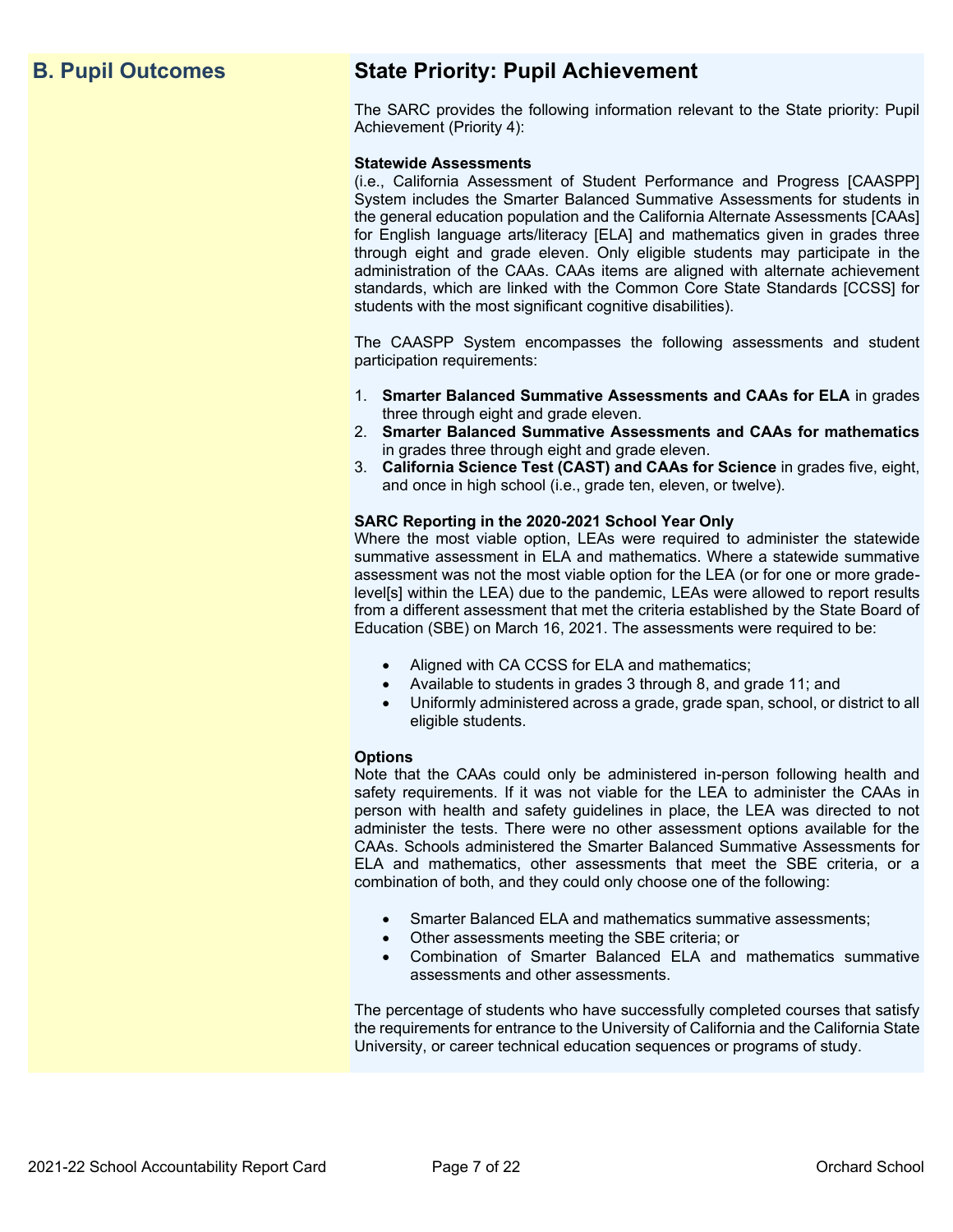# **B. Pupil Outcomes State Priority: Pupil Achievement**

The SARC provides the following information relevant to the State priority: Pupil Achievement (Priority 4):

#### **Statewide Assessments**

(i.e., California Assessment of Student Performance and Progress [CAASPP] System includes the Smarter Balanced Summative Assessments for students in the general education population and the California Alternate Assessments [CAAs] for English language arts/literacy [ELA] and mathematics given in grades three through eight and grade eleven. Only eligible students may participate in the administration of the CAAs. CAAs items are aligned with alternate achievement standards, which are linked with the Common Core State Standards [CCSS] for students with the most significant cognitive disabilities).

The CAASPP System encompasses the following assessments and student participation requirements:

- 1. **Smarter Balanced Summative Assessments and CAAs for ELA** in grades three through eight and grade eleven.
- 2. **Smarter Balanced Summative Assessments and CAAs for mathematics** in grades three through eight and grade eleven.
- 3. **California Science Test (CAST) and CAAs for Science** in grades five, eight, and once in high school (i.e., grade ten, eleven, or twelve).

#### **SARC Reporting in the 2020-2021 School Year Only**

Where the most viable option, LEAs were required to administer the statewide summative assessment in ELA and mathematics. Where a statewide summative assessment was not the most viable option for the LEA (or for one or more gradelevel[s] within the LEA) due to the pandemic, LEAs were allowed to report results from a different assessment that met the criteria established by the State Board of Education (SBE) on March 16, 2021. The assessments were required to be:

- Aligned with CA CCSS for ELA and mathematics;
- Available to students in grades 3 through 8, and grade 11; and
- Uniformly administered across a grade, grade span, school, or district to all eligible students.

#### **Options**

Note that the CAAs could only be administered in-person following health and safety requirements. If it was not viable for the LEA to administer the CAAs in person with health and safety guidelines in place, the LEA was directed to not administer the tests. There were no other assessment options available for the CAAs. Schools administered the Smarter Balanced Summative Assessments for ELA and mathematics, other assessments that meet the SBE criteria, or a combination of both, and they could only choose one of the following:

- Smarter Balanced ELA and mathematics summative assessments;
- Other assessments meeting the SBE criteria; or
- Combination of Smarter Balanced ELA and mathematics summative assessments and other assessments.

The percentage of students who have successfully completed courses that satisfy the requirements for entrance to the University of California and the California State University, or career technical education sequences or programs of study.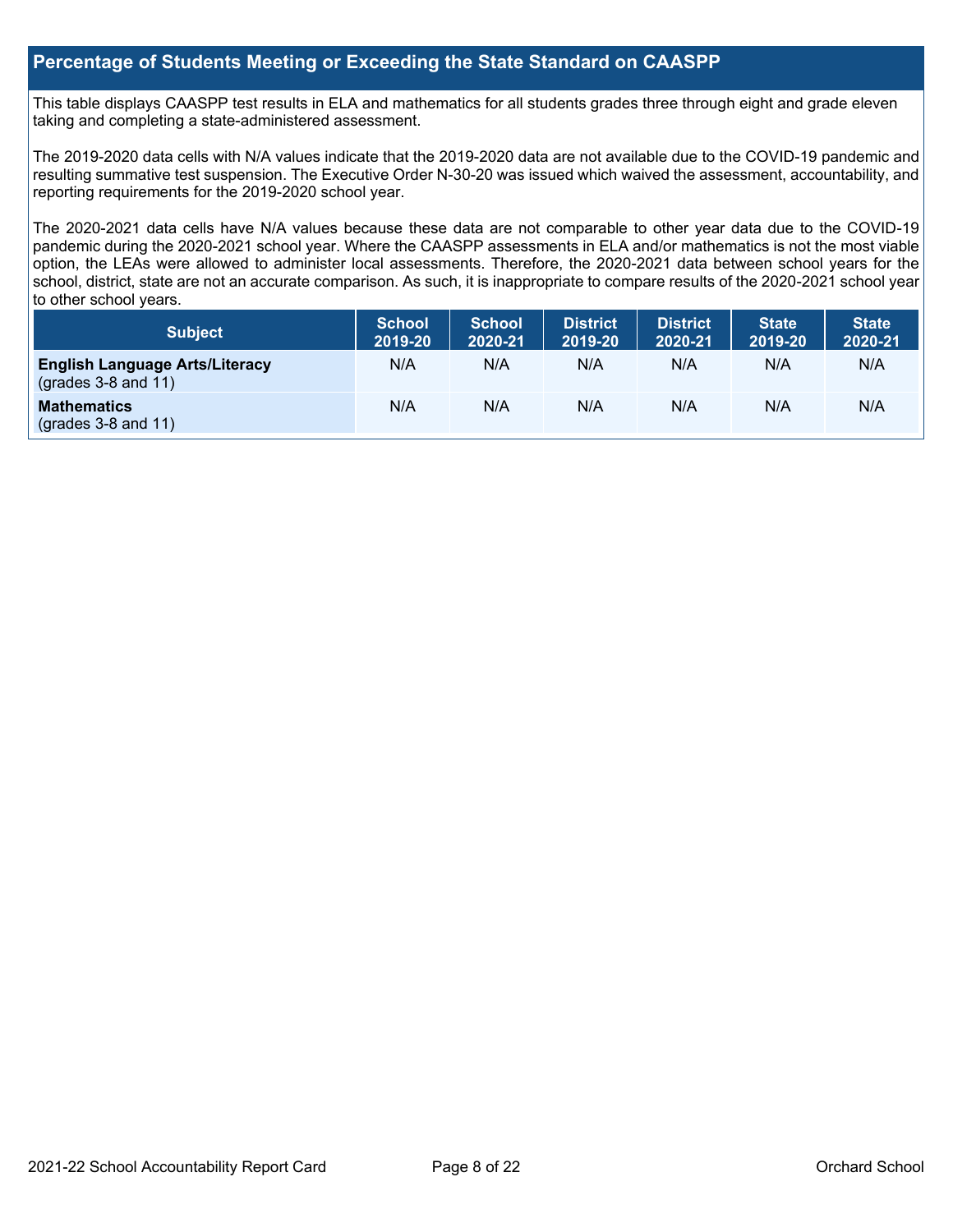#### **Percentage of Students Meeting or Exceeding the State Standard on CAASPP**

This table displays CAASPP test results in ELA and mathematics for all students grades three through eight and grade eleven taking and completing a state-administered assessment.

The 2019-2020 data cells with N/A values indicate that the 2019-2020 data are not available due to the COVID-19 pandemic and resulting summative test suspension. The Executive Order N-30-20 was issued which waived the assessment, accountability, and reporting requirements for the 2019-2020 school year.

The 2020-2021 data cells have N/A values because these data are not comparable to other year data due to the COVID-19 pandemic during the 2020-2021 school year. Where the CAASPP assessments in ELA and/or mathematics is not the most viable option, the LEAs were allowed to administer local assessments. Therefore, the 2020-2021 data between school years for the school, district, state are not an accurate comparison. As such, it is inappropriate to compare results of the 2020-2021 school year to other school years.

| Subject                                                        | <b>School</b><br>2019-20 | <b>School</b><br>2020-21 | <b>District</b><br>2019-20 | <b>District</b><br>2020-21 | <b>State</b><br>2019-20 | <b>State</b><br>2020-21 |
|----------------------------------------------------------------|--------------------------|--------------------------|----------------------------|----------------------------|-------------------------|-------------------------|
| <b>English Language Arts/Literacy</b><br>$(grades 3-8 and 11)$ | N/A                      | N/A                      | N/A                        | N/A                        | N/A                     | N/A                     |
| <b>Mathematics</b><br>$($ grades 3-8 and 11 $)$                | N/A                      | N/A                      | N/A                        | N/A                        | N/A                     | N/A                     |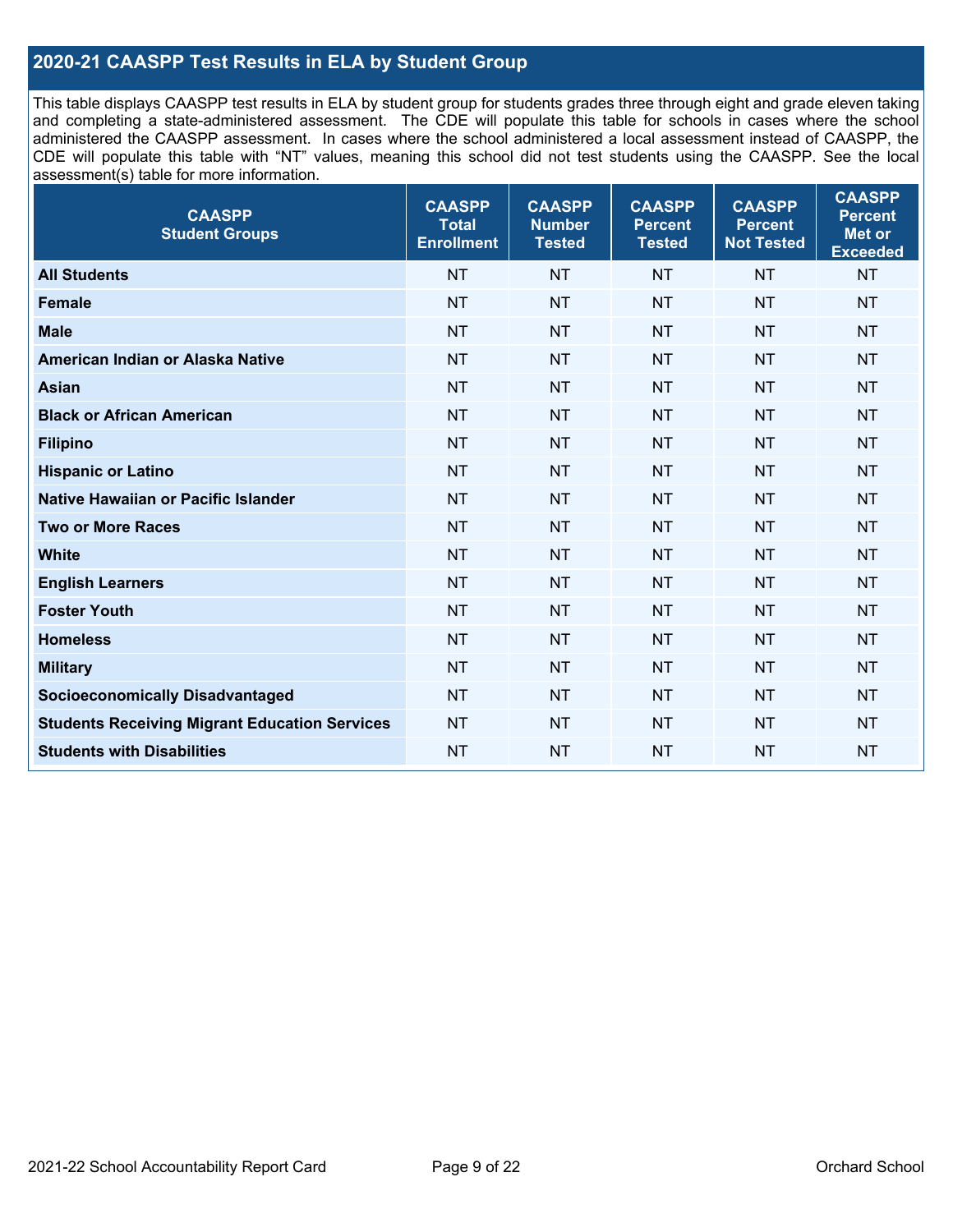### **2020-21 CAASPP Test Results in ELA by Student Group**

This table displays CAASPP test results in ELA by student group for students grades three through eight and grade eleven taking and completing a state-administered assessment. The CDE will populate this table for schools in cases where the school administered the CAASPP assessment. In cases where the school administered a local assessment instead of CAASPP, the CDE will populate this table with "NT" values, meaning this school did not test students using the CAASPP. See the local assessment(s) table for more information.

| <b>CAASPP</b><br><b>Student Groups</b>               | <b>CAASPP</b><br><b>Total</b><br><b>Enrollment</b> | <b>CAASPP</b><br><b>Number</b><br><b>Tested</b> | <b>CAASPP</b><br><b>Percent</b><br><b>Tested</b> | <b>CAASPP</b><br><b>Percent</b><br><b>Not Tested</b> | <b>CAASPP</b><br><b>Percent</b><br>Met or<br><b>Exceeded</b> |
|------------------------------------------------------|----------------------------------------------------|-------------------------------------------------|--------------------------------------------------|------------------------------------------------------|--------------------------------------------------------------|
| <b>All Students</b>                                  | <b>NT</b>                                          | <b>NT</b>                                       | <b>NT</b>                                        | <b>NT</b>                                            | <b>NT</b>                                                    |
| <b>Female</b>                                        | <b>NT</b>                                          | <b>NT</b>                                       | <b>NT</b>                                        | <b>NT</b>                                            | <b>NT</b>                                                    |
| <b>Male</b>                                          | <b>NT</b>                                          | <b>NT</b>                                       | <b>NT</b>                                        | <b>NT</b>                                            | <b>NT</b>                                                    |
| American Indian or Alaska Native                     | <b>NT</b>                                          | <b>NT</b>                                       | <b>NT</b>                                        | <b>NT</b>                                            | <b>NT</b>                                                    |
| Asian                                                | <b>NT</b>                                          | <b>NT</b>                                       | <b>NT</b>                                        | <b>NT</b>                                            | <b>NT</b>                                                    |
| <b>Black or African American</b>                     | <b>NT</b>                                          | <b>NT</b>                                       | <b>NT</b>                                        | <b>NT</b>                                            | <b>NT</b>                                                    |
| <b>Filipino</b>                                      | <b>NT</b>                                          | <b>NT</b>                                       | <b>NT</b>                                        | <b>NT</b>                                            | <b>NT</b>                                                    |
| <b>Hispanic or Latino</b>                            | <b>NT</b>                                          | <b>NT</b>                                       | <b>NT</b>                                        | <b>NT</b>                                            | <b>NT</b>                                                    |
| <b>Native Hawaiian or Pacific Islander</b>           | <b>NT</b>                                          | <b>NT</b>                                       | <b>NT</b>                                        | <b>NT</b>                                            | <b>NT</b>                                                    |
| <b>Two or More Races</b>                             | <b>NT</b>                                          | <b>NT</b>                                       | <b>NT</b>                                        | <b>NT</b>                                            | <b>NT</b>                                                    |
| <b>White</b>                                         | <b>NT</b>                                          | <b>NT</b>                                       | <b>NT</b>                                        | <b>NT</b>                                            | <b>NT</b>                                                    |
| <b>English Learners</b>                              | <b>NT</b>                                          | NT                                              | <b>NT</b>                                        | <b>NT</b>                                            | <b>NT</b>                                                    |
| <b>Foster Youth</b>                                  | <b>NT</b>                                          | <b>NT</b>                                       | <b>NT</b>                                        | <b>NT</b>                                            | <b>NT</b>                                                    |
| <b>Homeless</b>                                      | <b>NT</b>                                          | <b>NT</b>                                       | <b>NT</b>                                        | <b>NT</b>                                            | <b>NT</b>                                                    |
| <b>Military</b>                                      | <b>NT</b>                                          | <b>NT</b>                                       | <b>NT</b>                                        | <b>NT</b>                                            | <b>NT</b>                                                    |
| <b>Socioeconomically Disadvantaged</b>               | <b>NT</b>                                          | <b>NT</b>                                       | <b>NT</b>                                        | <b>NT</b>                                            | <b>NT</b>                                                    |
| <b>Students Receiving Migrant Education Services</b> | <b>NT</b>                                          | NT                                              | <b>NT</b>                                        | <b>NT</b>                                            | <b>NT</b>                                                    |
| <b>Students with Disabilities</b>                    | <b>NT</b>                                          | <b>NT</b>                                       | <b>NT</b>                                        | <b>NT</b>                                            | <b>NT</b>                                                    |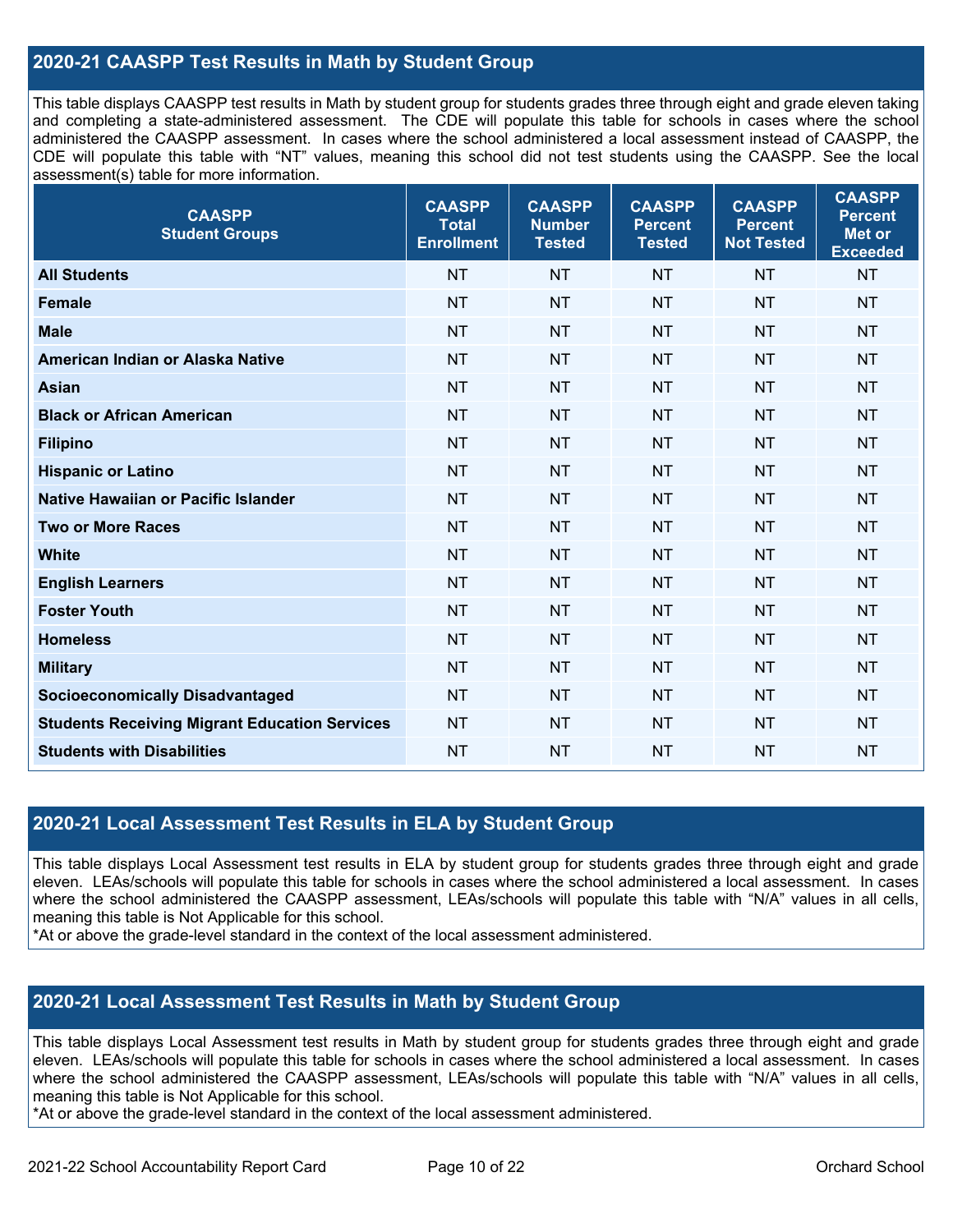### **2020-21 CAASPP Test Results in Math by Student Group**

This table displays CAASPP test results in Math by student group for students grades three through eight and grade eleven taking and completing a state-administered assessment. The CDE will populate this table for schools in cases where the school administered the CAASPP assessment. In cases where the school administered a local assessment instead of CAASPP, the CDE will populate this table with "NT" values, meaning this school did not test students using the CAASPP. See the local assessment(s) table for more information.

| <b>CAASPP</b><br><b>Student Groups</b>               | <b>CAASPP</b><br><b>Total</b><br><b>Enrollment</b> | <b>CAASPP</b><br><b>Number</b><br><b>Tested</b> | <b>CAASPP</b><br><b>Percent</b><br><b>Tested</b> | <b>CAASPP</b><br><b>Percent</b><br><b>Not Tested</b> | <b>CAASPP</b><br><b>Percent</b><br><b>Met or</b><br><b>Exceeded</b> |
|------------------------------------------------------|----------------------------------------------------|-------------------------------------------------|--------------------------------------------------|------------------------------------------------------|---------------------------------------------------------------------|
| <b>All Students</b>                                  | <b>NT</b>                                          | <b>NT</b>                                       | <b>NT</b>                                        | <b>NT</b>                                            | <b>NT</b>                                                           |
| <b>Female</b>                                        | <b>NT</b>                                          | <b>NT</b>                                       | <b>NT</b>                                        | <b>NT</b>                                            | <b>NT</b>                                                           |
| <b>Male</b>                                          | <b>NT</b>                                          | <b>NT</b>                                       | <b>NT</b>                                        | <b>NT</b>                                            | <b>NT</b>                                                           |
| American Indian or Alaska Native                     | <b>NT</b>                                          | <b>NT</b>                                       | <b>NT</b>                                        | <b>NT</b>                                            | <b>NT</b>                                                           |
| Asian                                                | <b>NT</b>                                          | <b>NT</b>                                       | <b>NT</b>                                        | <b>NT</b>                                            | <b>NT</b>                                                           |
| <b>Black or African American</b>                     | <b>NT</b>                                          | <b>NT</b>                                       | <b>NT</b>                                        | <b>NT</b>                                            | <b>NT</b>                                                           |
| <b>Filipino</b>                                      | <b>NT</b>                                          | <b>NT</b>                                       | <b>NT</b>                                        | <b>NT</b>                                            | <b>NT</b>                                                           |
| <b>Hispanic or Latino</b>                            | <b>NT</b>                                          | <b>NT</b>                                       | <b>NT</b>                                        | <b>NT</b>                                            | <b>NT</b>                                                           |
| <b>Native Hawaiian or Pacific Islander</b>           | <b>NT</b>                                          | <b>NT</b>                                       | <b>NT</b>                                        | <b>NT</b>                                            | <b>NT</b>                                                           |
| <b>Two or More Races</b>                             | <b>NT</b>                                          | <b>NT</b>                                       | <b>NT</b>                                        | <b>NT</b>                                            | <b>NT</b>                                                           |
| <b>White</b>                                         | <b>NT</b>                                          | <b>NT</b>                                       | <b>NT</b>                                        | <b>NT</b>                                            | <b>NT</b>                                                           |
| <b>English Learners</b>                              | <b>NT</b>                                          | <b>NT</b>                                       | <b>NT</b>                                        | <b>NT</b>                                            | <b>NT</b>                                                           |
| <b>Foster Youth</b>                                  | <b>NT</b>                                          | <b>NT</b>                                       | <b>NT</b>                                        | <b>NT</b>                                            | <b>NT</b>                                                           |
| <b>Homeless</b>                                      | <b>NT</b>                                          | NT                                              | <b>NT</b>                                        | <b>NT</b>                                            | <b>NT</b>                                                           |
| <b>Military</b>                                      | <b>NT</b>                                          | <b>NT</b>                                       | <b>NT</b>                                        | <b>NT</b>                                            | <b>NT</b>                                                           |
| <b>Socioeconomically Disadvantaged</b>               | <b>NT</b>                                          | <b>NT</b>                                       | <b>NT</b>                                        | <b>NT</b>                                            | <b>NT</b>                                                           |
| <b>Students Receiving Migrant Education Services</b> | <b>NT</b>                                          | NT                                              | <b>NT</b>                                        | <b>NT</b>                                            | <b>NT</b>                                                           |
| <b>Students with Disabilities</b>                    | <b>NT</b>                                          | <b>NT</b>                                       | <b>NT</b>                                        | <b>NT</b>                                            | <b>NT</b>                                                           |

#### **2020-21 Local Assessment Test Results in ELA by Student Group**

This table displays Local Assessment test results in ELA by student group for students grades three through eight and grade eleven. LEAs/schools will populate this table for schools in cases where the school administered a local assessment. In cases where the school administered the CAASPP assessment, LEAs/schools will populate this table with "N/A" values in all cells, meaning this table is Not Applicable for this school.

\*At or above the grade-level standard in the context of the local assessment administered.

#### **2020-21 Local Assessment Test Results in Math by Student Group**

This table displays Local Assessment test results in Math by student group for students grades three through eight and grade eleven. LEAs/schools will populate this table for schools in cases where the school administered a local assessment. In cases where the school administered the CAASPP assessment, LEAs/schools will populate this table with "N/A" values in all cells, meaning this table is Not Applicable for this school.

\*At or above the grade-level standard in the context of the local assessment administered.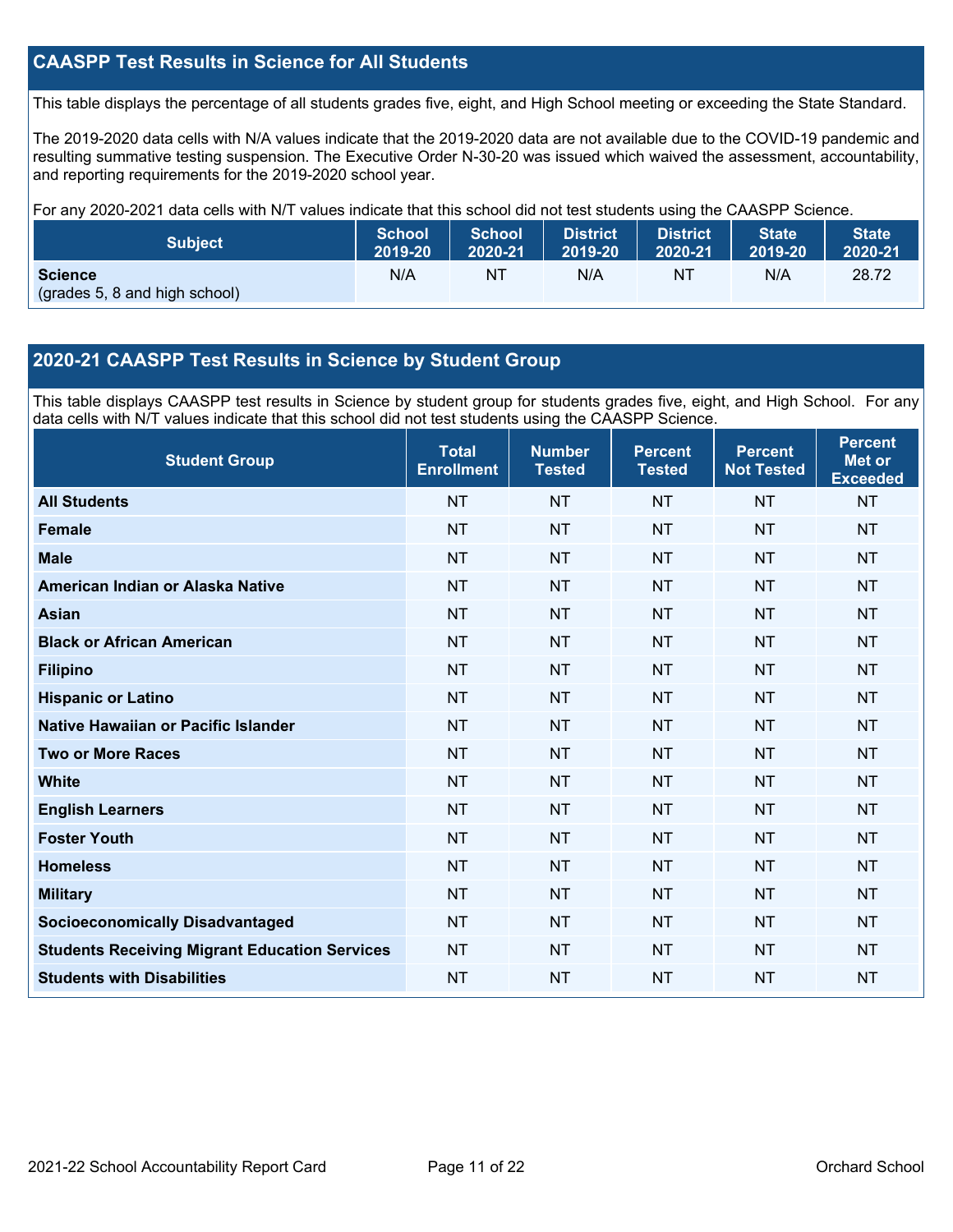### **CAASPP Test Results in Science for All Students**

This table displays the percentage of all students grades five, eight, and High School meeting or exceeding the State Standard.

The 2019-2020 data cells with N/A values indicate that the 2019-2020 data are not available due to the COVID-19 pandemic and resulting summative testing suspension. The Executive Order N-30-20 was issued which waived the assessment, accountability, and reporting requirements for the 2019-2020 school year.

For any 2020-2021 data cells with N/T values indicate that this school did not test students using the CAASPP Science.

| <b>Subject</b>                                  | <b>School</b> | School  | <b>District</b> | <b>District</b> | <b>State</b> | <b>State</b> |
|-------------------------------------------------|---------------|---------|-----------------|-----------------|--------------|--------------|
|                                                 | 2019-20       | 2020-21 | 2019-20         | 2020-21         | 2019-20      | 2020-21      |
| <b>Science</b><br>(grades 5, 8 and high school) | N/A           | ΝT      | N/A             | ΝT              | N/A          | 28.72        |

#### **2020-21 CAASPP Test Results in Science by Student Group**

This table displays CAASPP test results in Science by student group for students grades five, eight, and High School. For any data cells with N/T values indicate that this school did not test students using the CAASPP Science.

| <b>Student Group</b>                                 | <b>Total</b><br><b>Enrollment</b> | <b>Number</b><br><b>Tested</b> | <b>Percent</b><br><b>Tested</b> | <b>Percent</b><br><b>Not Tested</b> | <b>Percent</b><br><b>Met or</b><br><b>Exceeded</b> |
|------------------------------------------------------|-----------------------------------|--------------------------------|---------------------------------|-------------------------------------|----------------------------------------------------|
| <b>All Students</b>                                  | <b>NT</b>                         | <b>NT</b>                      | <b>NT</b>                       | <b>NT</b>                           | <b>NT</b>                                          |
| <b>Female</b>                                        | <b>NT</b>                         | <b>NT</b>                      | <b>NT</b>                       | <b>NT</b>                           | <b>NT</b>                                          |
| <b>Male</b>                                          | <b>NT</b>                         | <b>NT</b>                      | <b>NT</b>                       | <b>NT</b>                           | <b>NT</b>                                          |
| American Indian or Alaska Native                     | <b>NT</b>                         | <b>NT</b>                      | <b>NT</b>                       | <b>NT</b>                           | <b>NT</b>                                          |
| <b>Asian</b>                                         | <b>NT</b>                         | <b>NT</b>                      | <b>NT</b>                       | <b>NT</b>                           | <b>NT</b>                                          |
| <b>Black or African American</b>                     | <b>NT</b>                         | <b>NT</b>                      | <b>NT</b>                       | <b>NT</b>                           | <b>NT</b>                                          |
| <b>Filipino</b>                                      | <b>NT</b>                         | <b>NT</b>                      | <b>NT</b>                       | <b>NT</b>                           | <b>NT</b>                                          |
| <b>Hispanic or Latino</b>                            | <b>NT</b>                         | <b>NT</b>                      | <b>NT</b>                       | NT                                  | <b>NT</b>                                          |
| Native Hawaiian or Pacific Islander                  | <b>NT</b>                         | <b>NT</b>                      | <b>NT</b>                       | <b>NT</b>                           | <b>NT</b>                                          |
| <b>Two or More Races</b>                             | <b>NT</b>                         | <b>NT</b>                      | <b>NT</b>                       | <b>NT</b>                           | <b>NT</b>                                          |
| <b>White</b>                                         | <b>NT</b>                         | <b>NT</b>                      | <b>NT</b>                       | <b>NT</b>                           | <b>NT</b>                                          |
| <b>English Learners</b>                              | <b>NT</b>                         | <b>NT</b>                      | <b>NT</b>                       | <b>NT</b>                           | <b>NT</b>                                          |
| <b>Foster Youth</b>                                  | <b>NT</b>                         | <b>NT</b>                      | <b>NT</b>                       | <b>NT</b>                           | <b>NT</b>                                          |
| <b>Homeless</b>                                      | <b>NT</b>                         | <b>NT</b>                      | <b>NT</b>                       | <b>NT</b>                           | <b>NT</b>                                          |
| <b>Military</b>                                      | <b>NT</b>                         | <b>NT</b>                      | <b>NT</b>                       | <b>NT</b>                           | <b>NT</b>                                          |
| <b>Socioeconomically Disadvantaged</b>               | <b>NT</b>                         | <b>NT</b>                      | <b>NT</b>                       | NT                                  | <b>NT</b>                                          |
| <b>Students Receiving Migrant Education Services</b> | <b>NT</b>                         | <b>NT</b>                      | <b>NT</b>                       | <b>NT</b>                           | <b>NT</b>                                          |
| <b>Students with Disabilities</b>                    | <b>NT</b>                         | <b>NT</b>                      | <b>NT</b>                       | <b>NT</b>                           | <b>NT</b>                                          |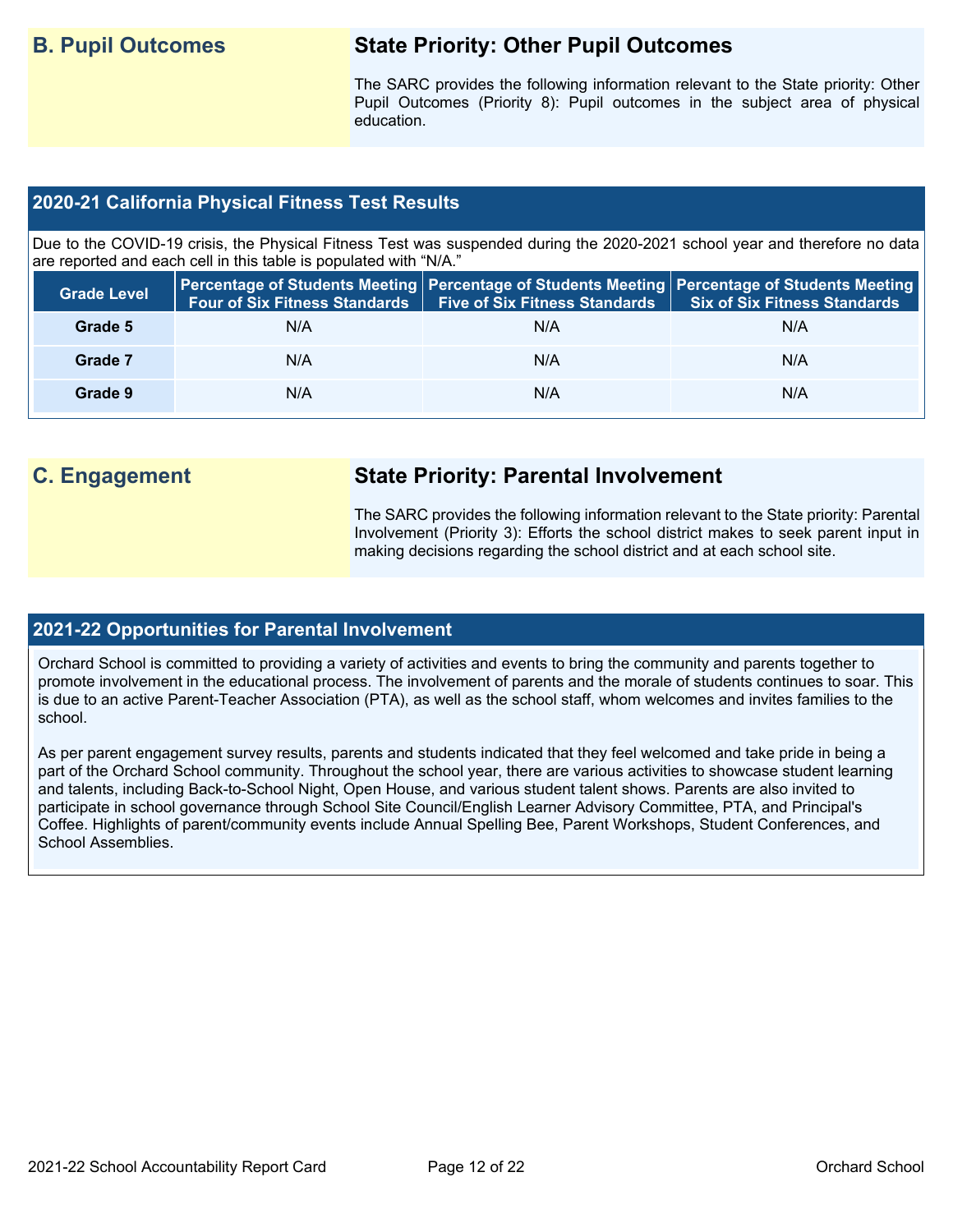## **B. Pupil Outcomes State Priority: Other Pupil Outcomes**

The SARC provides the following information relevant to the State priority: Other Pupil Outcomes (Priority 8): Pupil outcomes in the subject area of physical education.

#### **2020-21 California Physical Fitness Test Results**

Due to the COVID-19 crisis, the Physical Fitness Test was suspended during the 2020-2021 school year and therefore no data are reported and each cell in this table is populated with "N/A."

| <b>Grade Level</b> | <b>Four of Six Fitness Standards</b> | <b>Five of Six Fitness Standards</b> | Percentage of Students Meeting   Percentage of Students Meeting   Percentage of Students Meeting<br><b>Six of Six Fitness Standards</b> |
|--------------------|--------------------------------------|--------------------------------------|-----------------------------------------------------------------------------------------------------------------------------------------|
| Grade 5            | N/A                                  | N/A                                  | N/A                                                                                                                                     |
| Grade 7            | N/A                                  | N/A                                  | N/A                                                                                                                                     |
| Grade 9            | N/A                                  | N/A                                  | N/A                                                                                                                                     |

# **C. Engagement State Priority: Parental Involvement**

The SARC provides the following information relevant to the State priority: Parental Involvement (Priority 3): Efforts the school district makes to seek parent input in making decisions regarding the school district and at each school site.

#### **2021-22 Opportunities for Parental Involvement**

Orchard School is committed to providing a variety of activities and events to bring the community and parents together to promote involvement in the educational process. The involvement of parents and the morale of students continues to soar. This is due to an active Parent-Teacher Association (PTA), as well as the school staff, whom welcomes and invites families to the school.

As per parent engagement survey results, parents and students indicated that they feel welcomed and take pride in being a part of the Orchard School community. Throughout the school year, there are various activities to showcase student learning and talents, including Back-to-School Night, Open House, and various student talent shows. Parents are also invited to participate in school governance through School Site Council/English Learner Advisory Committee, PTA, and Principal's Coffee. Highlights of parent/community events include Annual Spelling Bee, Parent Workshops, Student Conferences, and School Assemblies.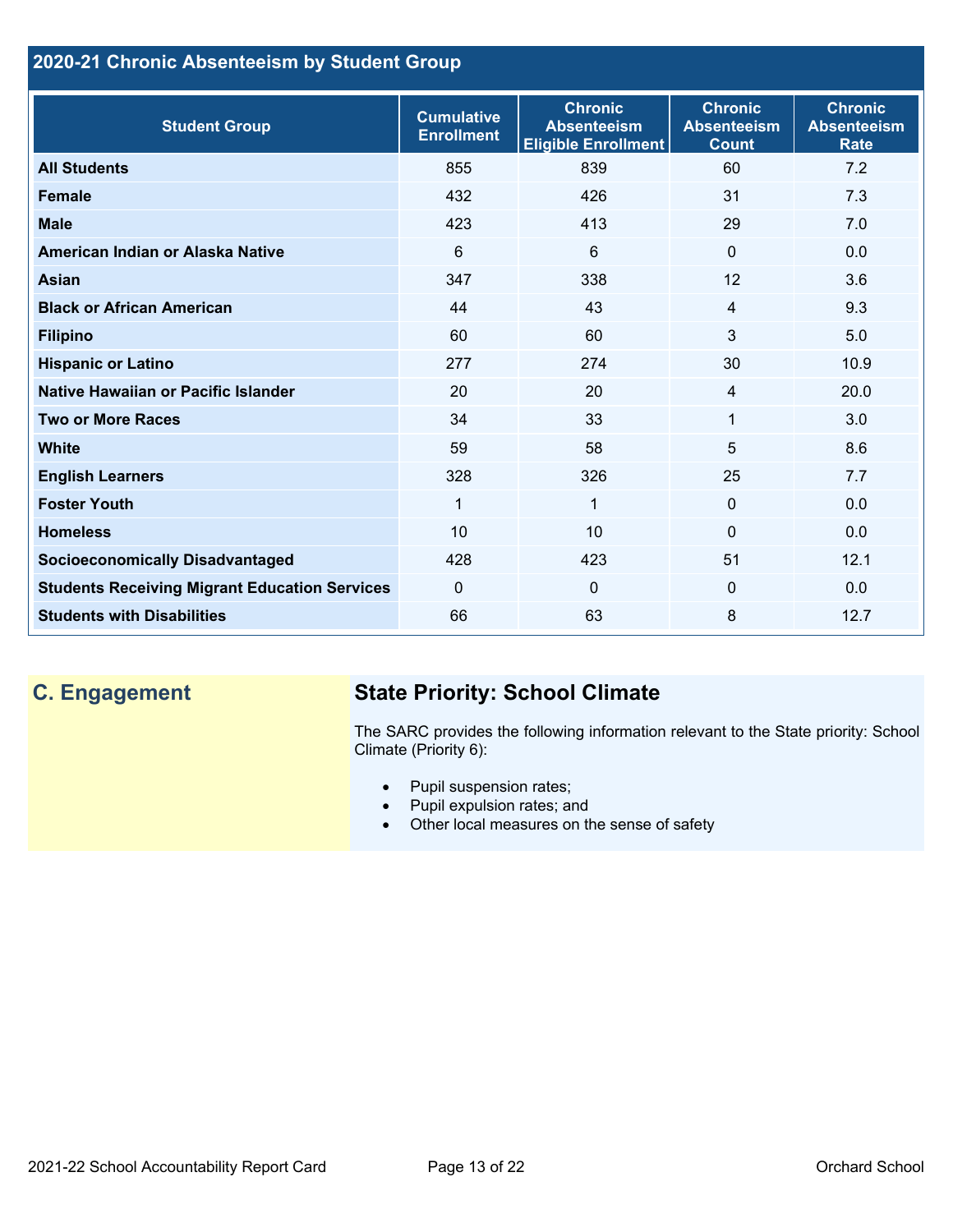## **2020-21 Chronic Absenteeism by Student Group**

| <b>Student Group</b>                                 | <b>Cumulative</b><br><b>Enrollment</b> | <b>Chronic</b><br><b>Absenteeism</b><br><b>Eligible Enrollment</b> | <b>Chronic</b><br><b>Absenteeism</b><br><b>Count</b> | <b>Chronic</b><br><b>Absenteeism</b><br><b>Rate</b> |
|------------------------------------------------------|----------------------------------------|--------------------------------------------------------------------|------------------------------------------------------|-----------------------------------------------------|
| <b>All Students</b>                                  | 855                                    | 839                                                                | 60                                                   | 7.2                                                 |
| <b>Female</b>                                        | 432                                    | 426                                                                | 31                                                   | 7.3                                                 |
| <b>Male</b>                                          | 423                                    | 413                                                                | 29                                                   | 7.0                                                 |
| American Indian or Alaska Native                     | 6                                      | 6                                                                  | $\mathbf{0}$                                         | 0.0                                                 |
| <b>Asian</b>                                         | 347                                    | 338                                                                | 12                                                   | 3.6                                                 |
| <b>Black or African American</b>                     | 44                                     | 43                                                                 | $\overline{4}$                                       | 9.3                                                 |
| <b>Filipino</b>                                      | 60                                     | 60                                                                 | 3                                                    | 5.0                                                 |
| <b>Hispanic or Latino</b>                            | 277                                    | 274                                                                | 30                                                   | 10.9                                                |
| Native Hawaiian or Pacific Islander                  | 20                                     | 20                                                                 | 4                                                    | 20.0                                                |
| <b>Two or More Races</b>                             | 34                                     | 33                                                                 | 1                                                    | 3.0                                                 |
| <b>White</b>                                         | 59                                     | 58                                                                 | 5                                                    | 8.6                                                 |
| <b>English Learners</b>                              | 328                                    | 326                                                                | 25                                                   | 7.7                                                 |
| <b>Foster Youth</b>                                  | 1                                      | $\mathbf{1}$                                                       | $\Omega$                                             | 0.0                                                 |
| <b>Homeless</b>                                      | 10                                     | 10                                                                 | $\Omega$                                             | 0.0                                                 |
| <b>Socioeconomically Disadvantaged</b>               | 428                                    | 423                                                                | 51                                                   | 12.1                                                |
| <b>Students Receiving Migrant Education Services</b> | $\mathbf{0}$                           | $\Omega$                                                           | $\Omega$                                             | 0.0                                                 |
| <b>Students with Disabilities</b>                    | 66                                     | 63                                                                 | 8                                                    | 12.7                                                |

# **C. Engagement State Priority: School Climate**

The SARC provides the following information relevant to the State priority: School Climate (Priority 6):

- Pupil suspension rates;
- Pupil expulsion rates; and
- Other local measures on the sense of safety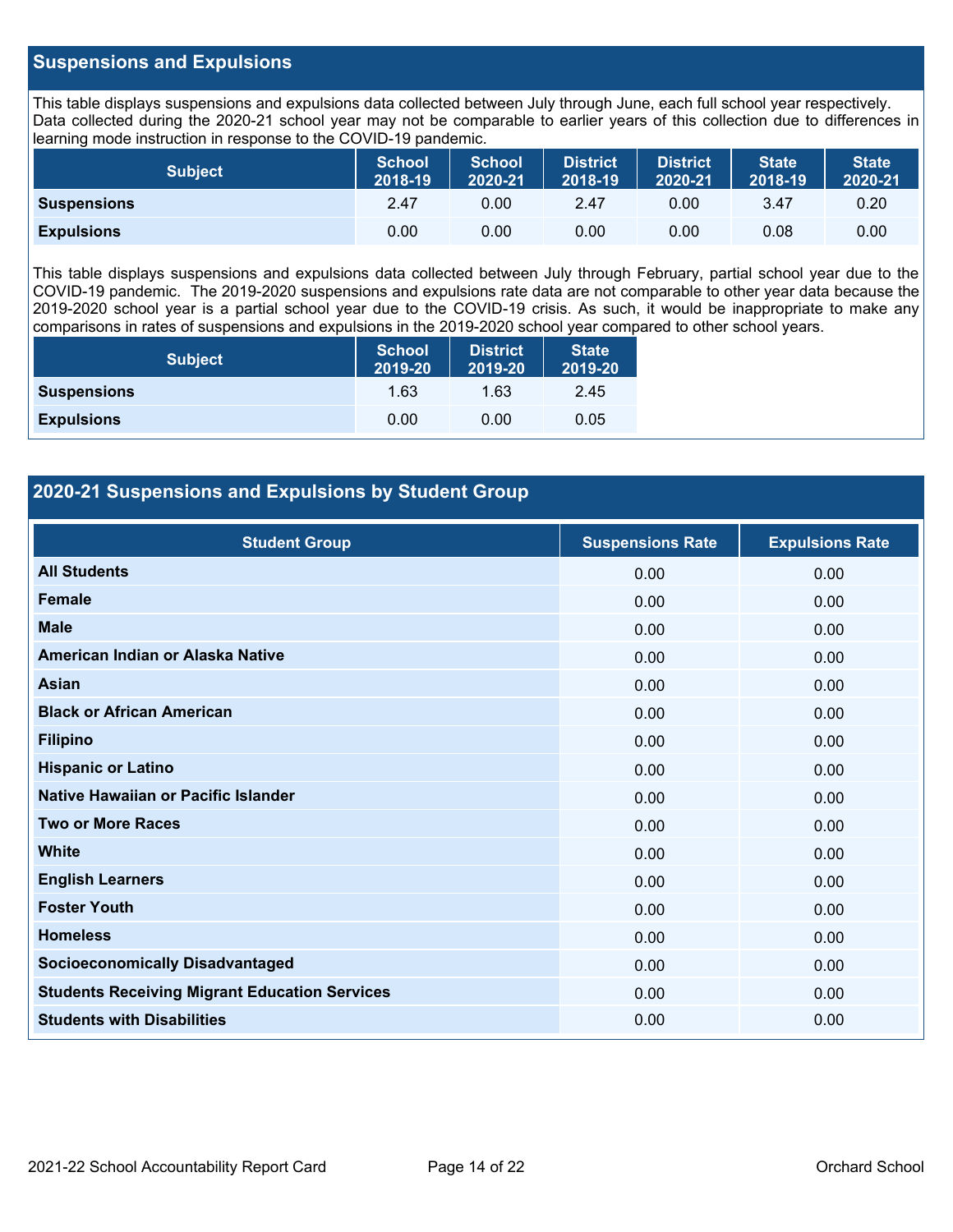#### **Suspensions and Expulsions**

This table displays suspensions and expulsions data collected between July through June, each full school year respectively. Data collected during the 2020-21 school year may not be comparable to earlier years of this collection due to differences in learning mode instruction in response to the COVID-19 pandemic.

| <b>Subject</b>     | <b>School</b><br>2018-19 | <b>School</b><br>2020-21 | <b>District</b><br>2018-19 | <b>District</b><br>2020-21 | <b>State</b><br>2018-19 | <b>State</b><br>2020-21 |
|--------------------|--------------------------|--------------------------|----------------------------|----------------------------|-------------------------|-------------------------|
| <b>Suspensions</b> | 2.47                     | 0.00                     | 2.47                       | 0.00                       | 3.47                    | 0.20                    |
| <b>Expulsions</b>  | 0.00                     | 0.00                     | 0.00                       | 0.00                       | 0.08                    | 0.00                    |

This table displays suspensions and expulsions data collected between July through February, partial school year due to the COVID-19 pandemic. The 2019-2020 suspensions and expulsions rate data are not comparable to other year data because the 2019-2020 school year is a partial school year due to the COVID-19 crisis. As such, it would be inappropriate to make any comparisons in rates of suspensions and expulsions in the 2019-2020 school year compared to other school years.

| <b>Subject</b>     | <b>School</b><br>2019-20 | <b>District</b><br>2019-20 | <b>State</b><br>2019-20 |
|--------------------|--------------------------|----------------------------|-------------------------|
| <b>Suspensions</b> | 1.63                     | 1.63                       | 2.45                    |
| <b>Expulsions</b>  | 0.00                     | 0.00                       | 0.05                    |

#### **2020-21 Suspensions and Expulsions by Student Group**

| <b>Student Group</b>                                 | <b>Suspensions Rate</b> | <b>Expulsions Rate</b> |
|------------------------------------------------------|-------------------------|------------------------|
| <b>All Students</b>                                  | 0.00                    | 0.00                   |
| <b>Female</b>                                        | 0.00                    | 0.00                   |
| <b>Male</b>                                          | 0.00                    | 0.00                   |
| American Indian or Alaska Native                     | 0.00                    | 0.00                   |
| Asian                                                | 0.00                    | 0.00                   |
| <b>Black or African American</b>                     | 0.00                    | 0.00                   |
| <b>Filipino</b>                                      | 0.00                    | 0.00                   |
| <b>Hispanic or Latino</b>                            | 0.00                    | 0.00                   |
| Native Hawaiian or Pacific Islander                  | 0.00                    | 0.00                   |
| <b>Two or More Races</b>                             | 0.00                    | 0.00                   |
| <b>White</b>                                         | 0.00                    | 0.00                   |
| <b>English Learners</b>                              | 0.00                    | 0.00                   |
| <b>Foster Youth</b>                                  | 0.00                    | 0.00                   |
| <b>Homeless</b>                                      | 0.00                    | 0.00                   |
| <b>Socioeconomically Disadvantaged</b>               | 0.00                    | 0.00                   |
| <b>Students Receiving Migrant Education Services</b> | 0.00                    | 0.00                   |
| <b>Students with Disabilities</b>                    | 0.00                    | 0.00                   |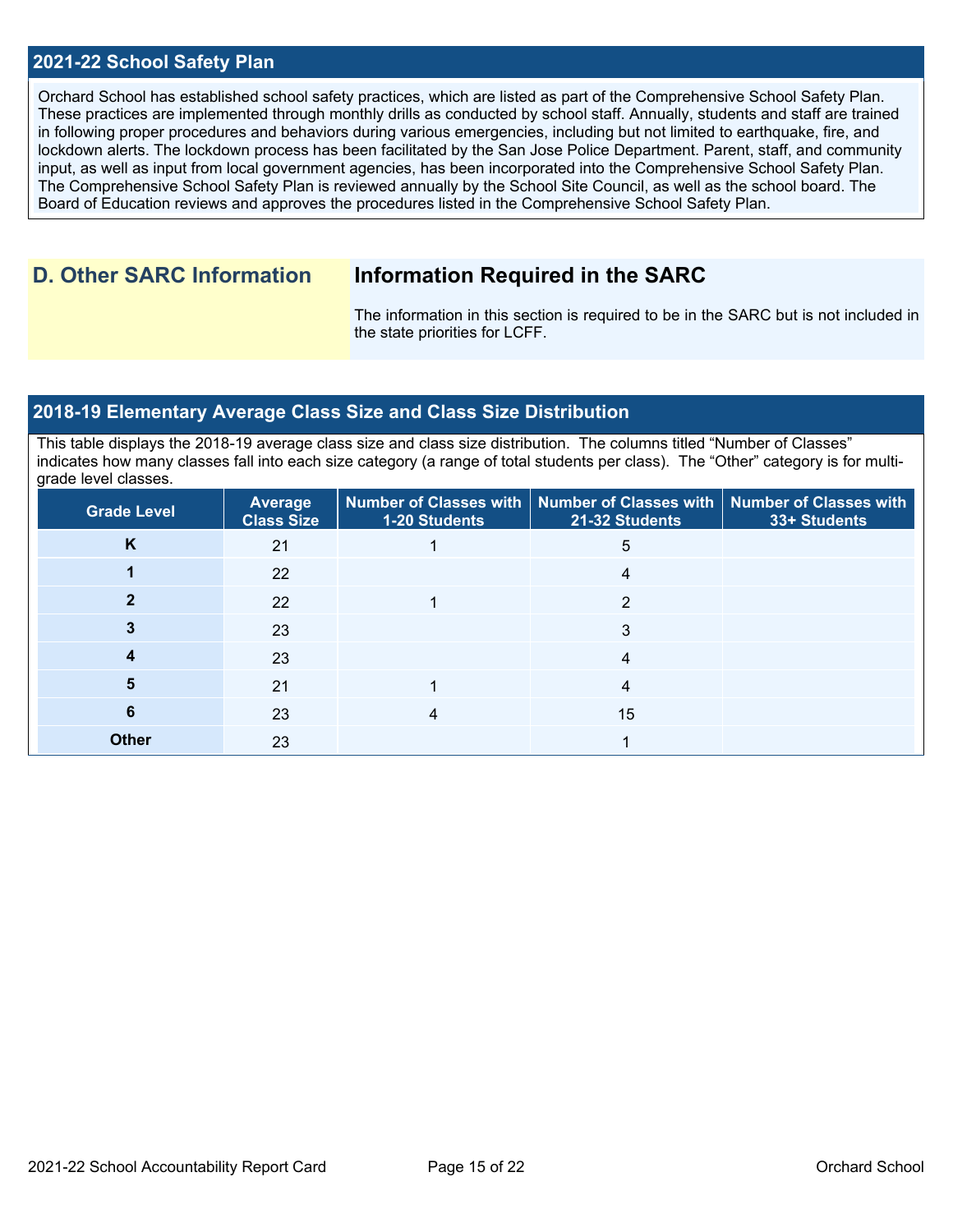#### **2021-22 School Safety Plan**

Orchard School has established school safety practices, which are listed as part of the Comprehensive School Safety Plan. These practices are implemented through monthly drills as conducted by school staff. Annually, students and staff are trained in following proper procedures and behaviors during various emergencies, including but not limited to earthquake, fire, and lockdown alerts. The lockdown process has been facilitated by the San Jose Police Department. Parent, staff, and community input, as well as input from local government agencies, has been incorporated into the Comprehensive School Safety Plan. The Comprehensive School Safety Plan is reviewed annually by the School Site Council, as well as the school board. The Board of Education reviews and approves the procedures listed in the Comprehensive School Safety Plan.

# **D. Other SARC Information Information Required in the SARC**

The information in this section is required to be in the SARC but is not included in the state priorities for LCFF.

#### **2018-19 Elementary Average Class Size and Class Size Distribution**

This table displays the 2018-19 average class size and class size distribution. The columns titled "Number of Classes" indicates how many classes fall into each size category (a range of total students per class). The "Other" category is for multigrade level classes.

| <b>Grade Level</b> | Average<br><b>Class Size</b> | 1-20 Students | Number of Classes with   Number of Classes with   Number of Classes with<br>21-32 Students | 33+ Students |
|--------------------|------------------------------|---------------|--------------------------------------------------------------------------------------------|--------------|
| K                  | 21                           |               | 5                                                                                          |              |
|                    | 22                           |               | 4                                                                                          |              |
|                    | 22                           |               | 2                                                                                          |              |
|                    | 23                           |               | 3                                                                                          |              |
|                    | 23                           |               | 4                                                                                          |              |
|                    | 21                           |               | 4                                                                                          |              |
| 6                  | 23                           |               | 15                                                                                         |              |
| <b>Other</b>       | 23                           |               |                                                                                            |              |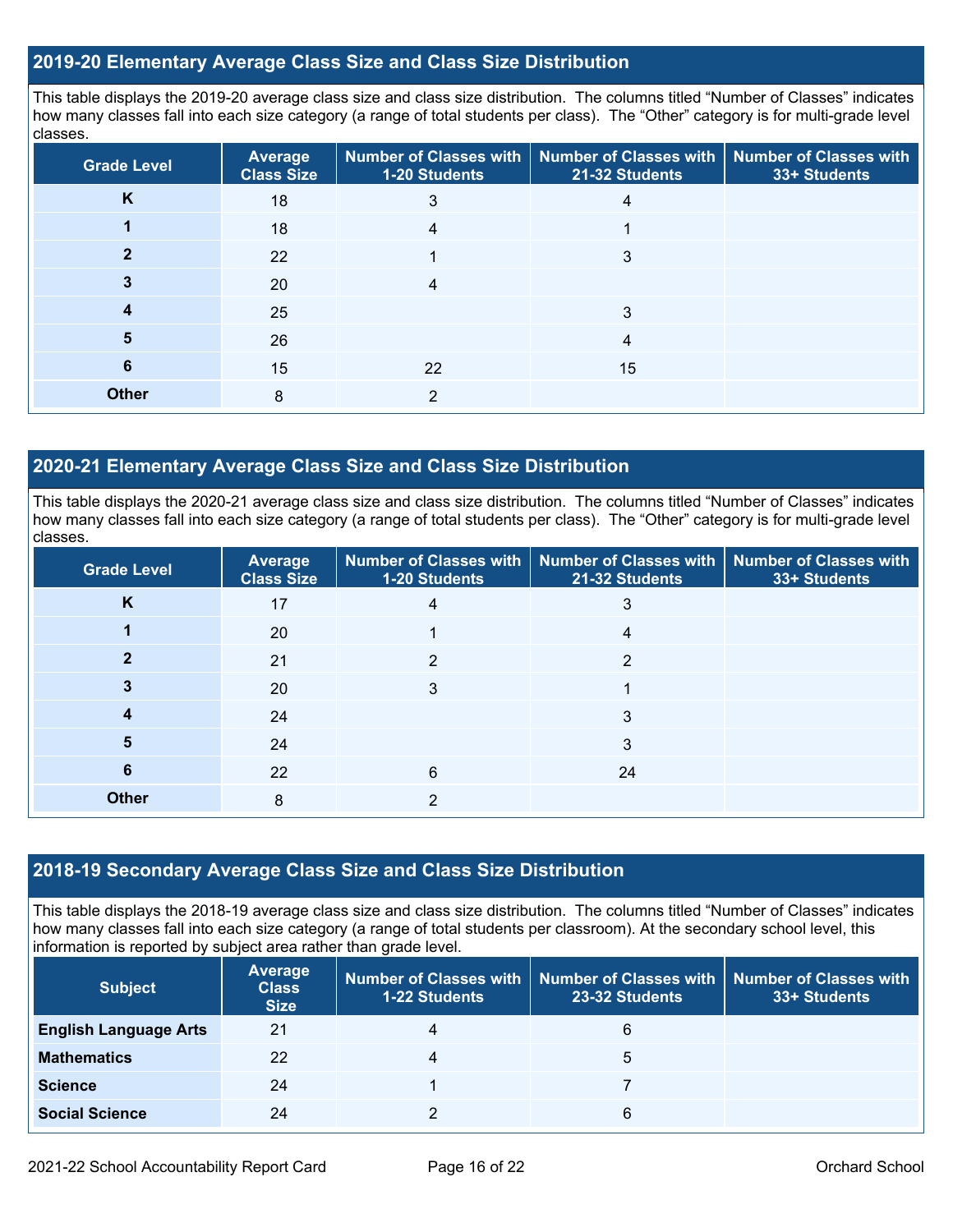#### **2019-20 Elementary Average Class Size and Class Size Distribution**

This table displays the 2019-20 average class size and class size distribution. The columns titled "Number of Classes" indicates how many classes fall into each size category (a range of total students per class). The "Other" category is for multi-grade level classes.

| <b>Grade Level</b> | <b>Average</b><br><b>Class Size</b> | 1-20 Students | Number of Classes with   Number of Classes with  <br>21-32 Students | <b>Number of Classes with</b><br>33+ Students |
|--------------------|-------------------------------------|---------------|---------------------------------------------------------------------|-----------------------------------------------|
| K                  | 18                                  | 3             |                                                                     |                                               |
|                    | 18                                  |               |                                                                     |                                               |
|                    | 22                                  |               | 3                                                                   |                                               |
|                    | 20                                  |               |                                                                     |                                               |
|                    | 25                                  |               | 3                                                                   |                                               |
| 5                  | 26                                  |               | 4                                                                   |                                               |
| 6                  | 15                                  | 22            | 15                                                                  |                                               |
| <b>Other</b>       | 8                                   | $\mathcal{P}$ |                                                                     |                                               |

#### **2020-21 Elementary Average Class Size and Class Size Distribution**

This table displays the 2020-21 average class size and class size distribution. The columns titled "Number of Classes" indicates how many classes fall into each size category (a range of total students per class). The "Other" category is for multi-grade level classes.

| <b>Grade Level</b> | <b>Average</b><br><b>Class Size</b> | 1-20 Students | Number of Classes with   Number of Classes with   Number of Classes with<br>21-32 Students | 33+ Students |
|--------------------|-------------------------------------|---------------|--------------------------------------------------------------------------------------------|--------------|
| K                  | 17                                  | 4             | 3                                                                                          |              |
|                    | 20                                  |               | 4                                                                                          |              |
|                    | 21                                  | ◠             | ◠                                                                                          |              |
|                    | 20                                  | 3             |                                                                                            |              |
|                    | 24                                  |               | 3                                                                                          |              |
| 5                  | 24                                  |               | 3                                                                                          |              |
| 6                  | 22                                  | 6             | 24                                                                                         |              |
| <b>Other</b>       | 8                                   | っ             |                                                                                            |              |

#### **2018-19 Secondary Average Class Size and Class Size Distribution**

This table displays the 2018-19 average class size and class size distribution. The columns titled "Number of Classes" indicates how many classes fall into each size category (a range of total students per classroom). At the secondary school level, this information is reported by subject area rather than grade level.

| <b>Subject</b>               | Average<br><b>Class</b><br><b>Size</b> | <b>1-22 Students</b> | 23-32 Students | Number of Classes with   Number of Classes with   Number of Classes with  <br>33+ Students |
|------------------------------|----------------------------------------|----------------------|----------------|--------------------------------------------------------------------------------------------|
| <b>English Language Arts</b> | 21                                     |                      | 6              |                                                                                            |
| <b>Mathematics</b>           | 22                                     |                      | 5              |                                                                                            |
| <b>Science</b>               | 24                                     |                      |                |                                                                                            |
| <b>Social Science</b>        | 24                                     |                      | 6              |                                                                                            |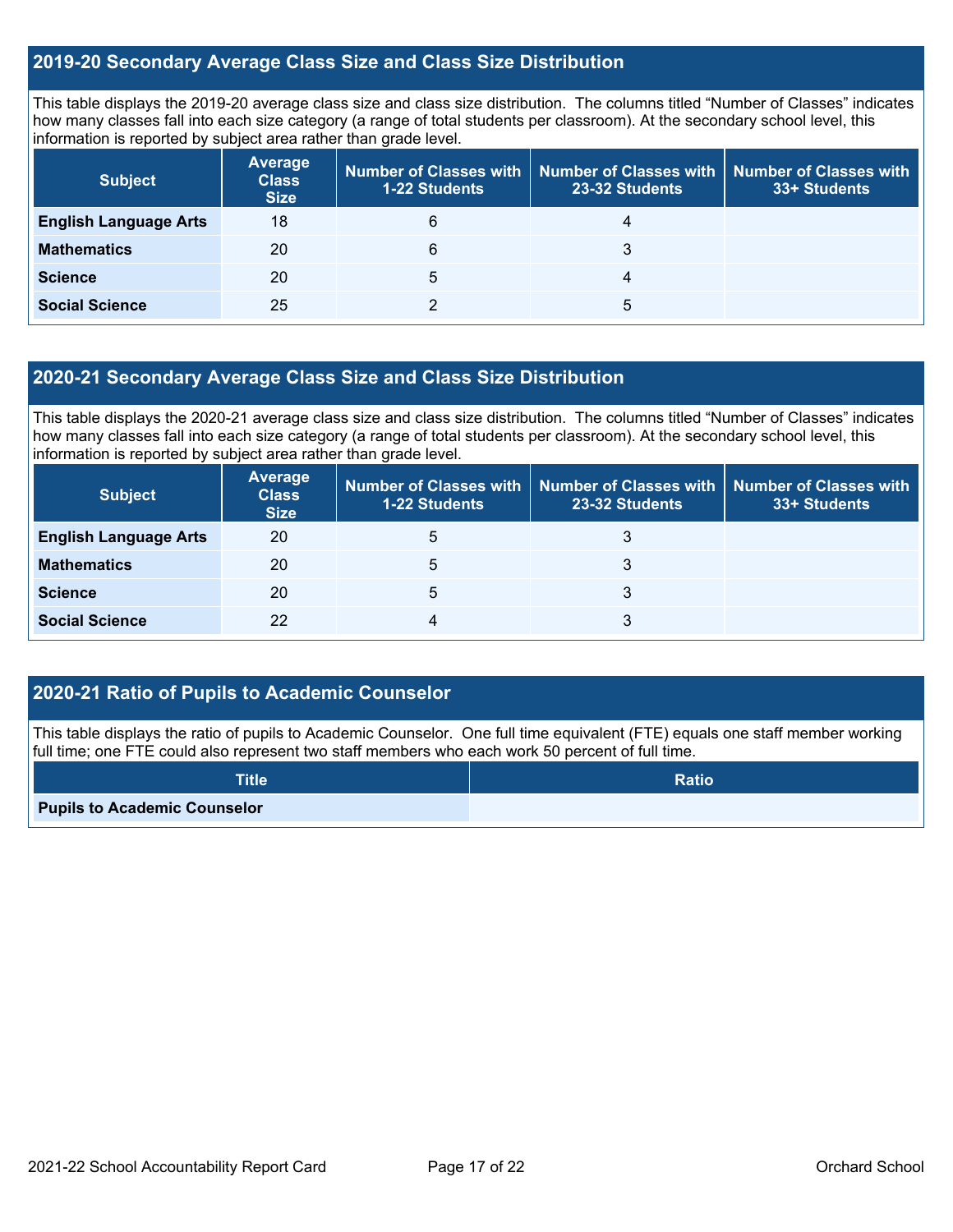#### **2019-20 Secondary Average Class Size and Class Size Distribution**

This table displays the 2019-20 average class size and class size distribution. The columns titled "Number of Classes" indicates how many classes fall into each size category (a range of total students per classroom). At the secondary school level, this information is reported by subject area rather than grade level.

| <b>Subject</b>               | Average<br><b>Class</b><br><b>Size</b> | 1-22 Students | Number of Classes with   Number of Classes with   Number of Classes with<br>23-32 Students | 33+ Students |
|------------------------------|----------------------------------------|---------------|--------------------------------------------------------------------------------------------|--------------|
| <b>English Language Arts</b> | 18                                     | 6             | 4                                                                                          |              |
| <b>Mathematics</b>           | 20                                     | 6             | 3                                                                                          |              |
| <b>Science</b>               | 20                                     | 5             | 4                                                                                          |              |
| <b>Social Science</b>        | 25                                     |               | 5                                                                                          |              |

#### **2020-21 Secondary Average Class Size and Class Size Distribution**

This table displays the 2020-21 average class size and class size distribution. The columns titled "Number of Classes" indicates how many classes fall into each size category (a range of total students per classroom). At the secondary school level, this information is reported by subject area rather than grade level.

| <b>Subject</b>               | Average<br><b>Class</b><br><b>Size</b> | <b>1-22 Students</b> | Number of Classes with   Number of Classes with   Number of Classes with<br>23-32 Students | 33+ Students |
|------------------------------|----------------------------------------|----------------------|--------------------------------------------------------------------------------------------|--------------|
| <b>English Language Arts</b> | 20                                     | 5                    |                                                                                            |              |
| <b>Mathematics</b>           | 20                                     | 5                    |                                                                                            |              |
| <b>Science</b>               | 20                                     | 5                    | 3                                                                                          |              |
| <b>Social Science</b>        | 22                                     |                      | 3                                                                                          |              |

#### **2020-21 Ratio of Pupils to Academic Counselor**

This table displays the ratio of pupils to Academic Counselor. One full time equivalent (FTE) equals one staff member working full time; one FTE could also represent two staff members who each work 50 percent of full time.

| <b>Title</b>                        | <b>Ratio</b> |
|-------------------------------------|--------------|
| <b>Pupils to Academic Counselor</b> |              |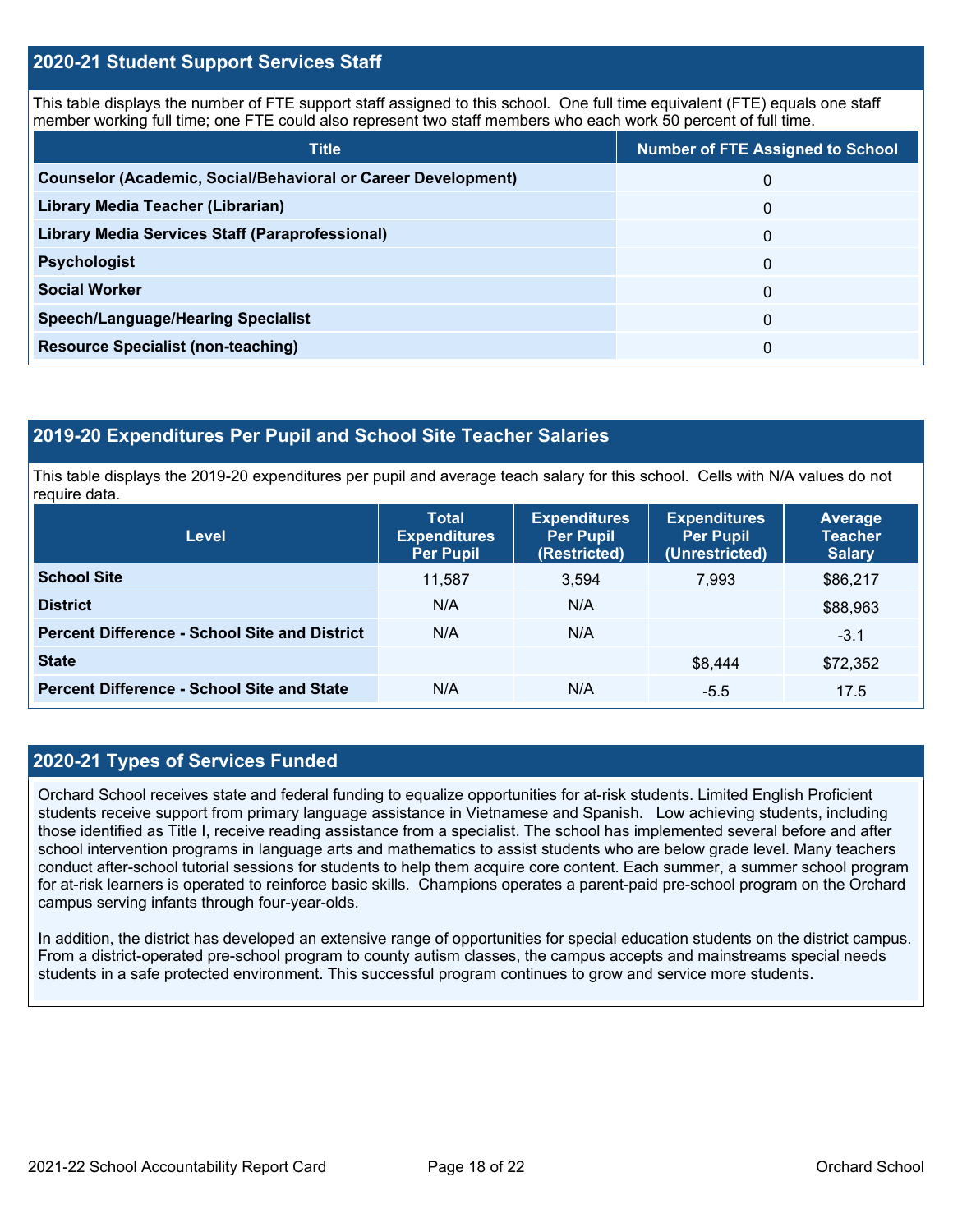#### **2020-21 Student Support Services Staff**

This table displays the number of FTE support staff assigned to this school. One full time equivalent (FTE) equals one staff member working full time; one FTE could also represent two staff members who each work 50 percent of full time.

| <b>Title</b>                                                         | <b>Number of FTE Assigned to School</b> |
|----------------------------------------------------------------------|-----------------------------------------|
| <b>Counselor (Academic, Social/Behavioral or Career Development)</b> | 0                                       |
| Library Media Teacher (Librarian)                                    | 0                                       |
| <b>Library Media Services Staff (Paraprofessional)</b>               | 0                                       |
| <b>Psychologist</b>                                                  | 0                                       |
| <b>Social Worker</b>                                                 | $\Omega$                                |
| <b>Speech/Language/Hearing Specialist</b>                            | $\Omega$                                |
| <b>Resource Specialist (non-teaching)</b>                            | 0                                       |

#### **2019-20 Expenditures Per Pupil and School Site Teacher Salaries**

This table displays the 2019-20 expenditures per pupil and average teach salary for this school. Cells with N/A values do not require data.

| <b>Level</b>                                         | <b>Total</b><br><b>Expenditures</b><br><b>Per Pupil</b> | <b>Expenditures</b><br><b>Per Pupil</b><br>(Restricted) | <b>Expenditures</b><br><b>Per Pupil</b><br>(Unrestricted) | Average<br><b>Teacher</b><br><b>Salary</b> |
|------------------------------------------------------|---------------------------------------------------------|---------------------------------------------------------|-----------------------------------------------------------|--------------------------------------------|
| <b>School Site</b>                                   | 11.587                                                  | 3,594                                                   | 7.993                                                     | \$86,217                                   |
| <b>District</b>                                      | N/A                                                     | N/A                                                     |                                                           | \$88,963                                   |
| <b>Percent Difference - School Site and District</b> | N/A                                                     | N/A                                                     |                                                           | $-3.1$                                     |
| <b>State</b>                                         |                                                         |                                                         | \$8,444                                                   | \$72,352                                   |
| <b>Percent Difference - School Site and State</b>    | N/A                                                     | N/A                                                     | $-5.5$                                                    | 17.5                                       |

#### **2020-21 Types of Services Funded**

Orchard School receives state and federal funding to equalize opportunities for at-risk students. Limited English Proficient students receive support from primary language assistance in Vietnamese and Spanish. Low achieving students, including those identified as Title I, receive reading assistance from a specialist. The school has implemented several before and after school intervention programs in language arts and mathematics to assist students who are below grade level. Many teachers conduct after-school tutorial sessions for students to help them acquire core content. Each summer, a summer school program for at-risk learners is operated to reinforce basic skills. Champions operates a parent-paid pre-school program on the Orchard campus serving infants through four-year-olds.

In addition, the district has developed an extensive range of opportunities for special education students on the district campus. From a district-operated pre-school program to county autism classes, the campus accepts and mainstreams special needs students in a safe protected environment. This successful program continues to grow and service more students.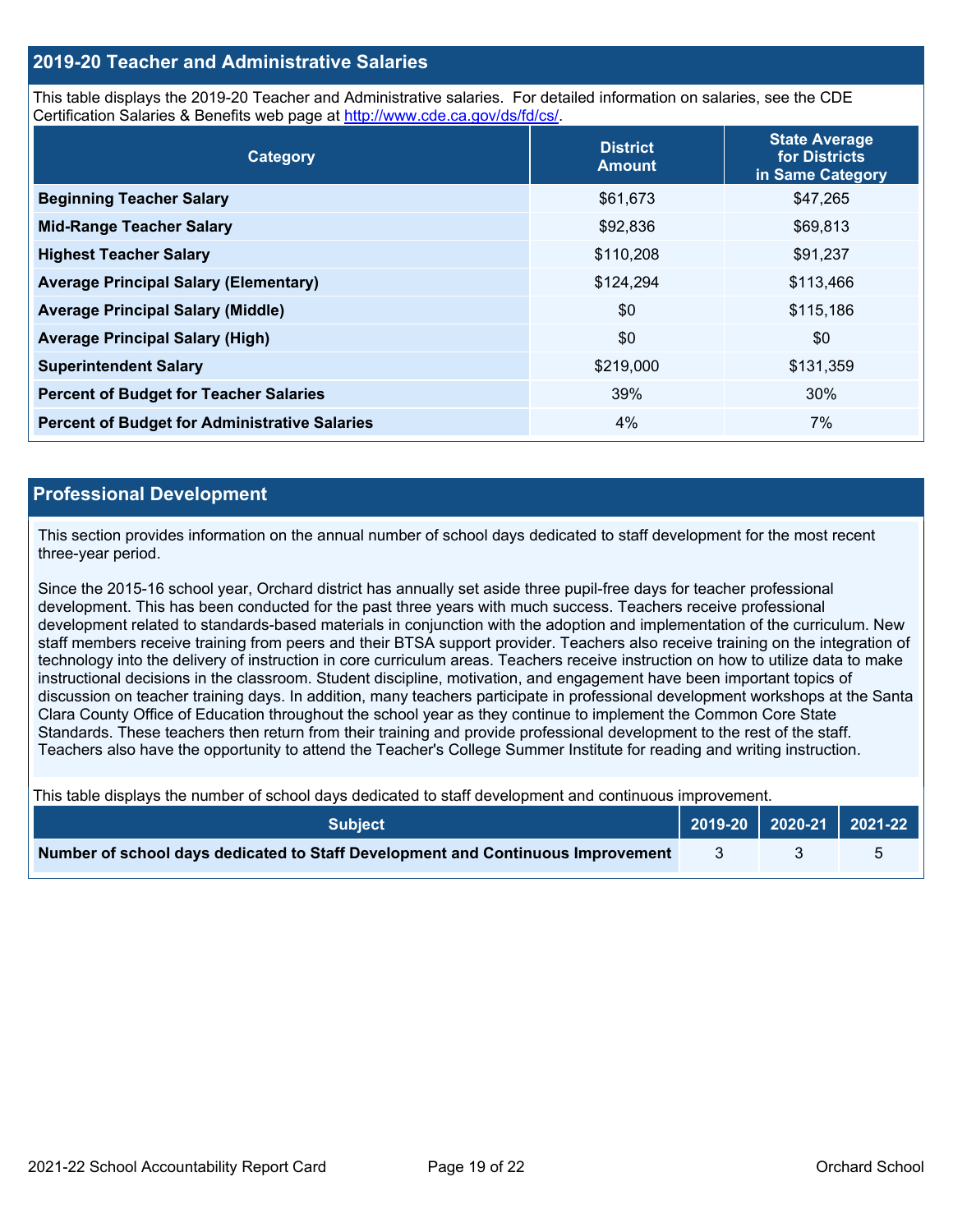#### **2019-20 Teacher and Administrative Salaries**

This table displays the 2019-20 Teacher and Administrative salaries. For detailed information on salaries, see the CDE Certification Salaries & Benefits web page at [http://www.cde.ca.gov/ds/fd/cs/.](http://www.cde.ca.gov/ds/fd/cs/)

| Category                                             | <b>District</b><br><b>Amount</b> | <b>State Average</b><br>for Districts<br>in Same Category |
|------------------------------------------------------|----------------------------------|-----------------------------------------------------------|
| <b>Beginning Teacher Salary</b>                      | \$61,673                         | \$47,265                                                  |
| <b>Mid-Range Teacher Salary</b>                      | \$92,836                         | \$69,813                                                  |
| <b>Highest Teacher Salary</b>                        | \$110,208                        | \$91,237                                                  |
| <b>Average Principal Salary (Elementary)</b>         | \$124,294                        | \$113,466                                                 |
| <b>Average Principal Salary (Middle)</b>             | \$0                              | \$115,186                                                 |
| <b>Average Principal Salary (High)</b>               | \$0                              | \$0                                                       |
| <b>Superintendent Salary</b>                         | \$219,000                        | \$131,359                                                 |
| <b>Percent of Budget for Teacher Salaries</b>        | 39%                              | 30%                                                       |
| <b>Percent of Budget for Administrative Salaries</b> | 4%                               | 7%                                                        |

#### **Professional Development**

This section provides information on the annual number of school days dedicated to staff development for the most recent three-year period.

Since the 2015-16 school year, Orchard district has annually set aside three pupil-free days for teacher professional development. This has been conducted for the past three years with much success. Teachers receive professional development related to standards-based materials in conjunction with the adoption and implementation of the curriculum. New staff members receive training from peers and their BTSA support provider. Teachers also receive training on the integration of technology into the delivery of instruction in core curriculum areas. Teachers receive instruction on how to utilize data to make instructional decisions in the classroom. Student discipline, motivation, and engagement have been important topics of discussion on teacher training days. In addition, many teachers participate in professional development workshops at the Santa Clara County Office of Education throughout the school year as they continue to implement the Common Core State Standards. These teachers then return from their training and provide professional development to the rest of the staff. Teachers also have the opportunity to attend the Teacher's College Summer Institute for reading and writing instruction.

This table displays the number of school days dedicated to staff development and continuous improvement.

| <b>Subject</b>                                                                  |  | 2019-20   2020-21   2021-22 |
|---------------------------------------------------------------------------------|--|-----------------------------|
| Number of school days dedicated to Staff Development and Continuous Improvement |  |                             |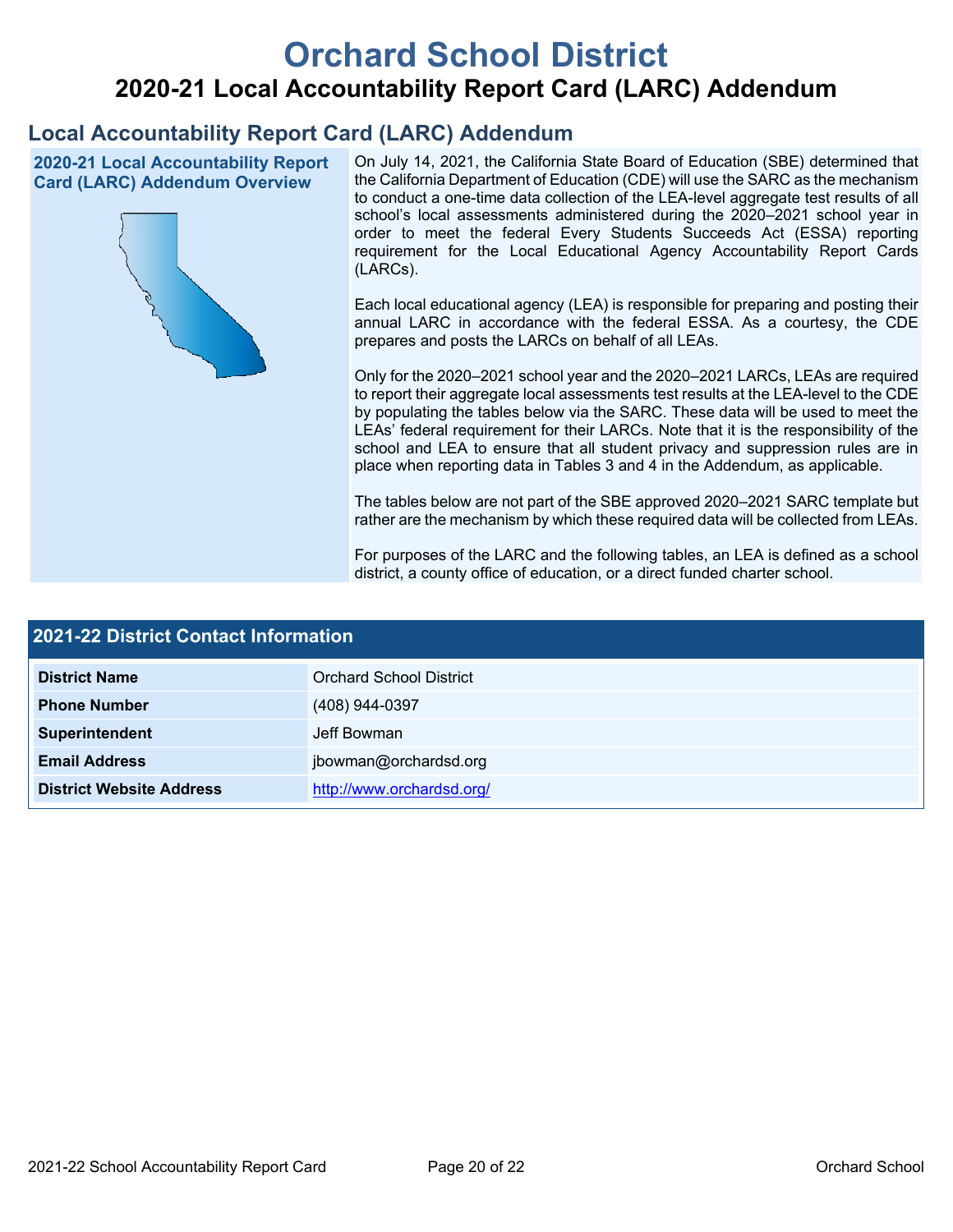# **Orchard School District 2020-21 Local Accountability Report Card (LARC) Addendum**

# **Local Accountability Report Card (LARC) Addendum**

**2020-21 Local Accountability Report Card (LARC) Addendum Overview**



On July 14, 2021, the California State Board of Education (SBE) determined that the California Department of Education (CDE) will use the SARC as the mechanism to conduct a one-time data collection of the LEA-level aggregate test results of all school's local assessments administered during the 2020–2021 school year in order to meet the federal Every Students Succeeds Act (ESSA) reporting requirement for the Local Educational Agency Accountability Report Cards (LARCs).

Each local educational agency (LEA) is responsible for preparing and posting their annual LARC in accordance with the federal ESSA. As a courtesy, the CDE prepares and posts the LARCs on behalf of all LEAs.

Only for the 2020–2021 school year and the 2020–2021 LARCs, LEAs are required to report their aggregate local assessments test results at the LEA-level to the CDE by populating the tables below via the SARC. These data will be used to meet the LEAs' federal requirement for their LARCs. Note that it is the responsibility of the school and LEA to ensure that all student privacy and suppression rules are in place when reporting data in Tables 3 and 4 in the Addendum, as applicable.

The tables below are not part of the SBE approved 2020–2021 SARC template but rather are the mechanism by which these required data will be collected from LEAs.

For purposes of the LARC and the following tables, an LEA is defined as a school district, a county office of education, or a direct funded charter school.

| <b>2021-22 District Contact Information</b> |                                |  |  |  |
|---------------------------------------------|--------------------------------|--|--|--|
| <b>District Name</b>                        | <b>Orchard School District</b> |  |  |  |
| <b>Phone Number</b>                         | (408) 944-0397                 |  |  |  |
| Superintendent                              | Jeff Bowman                    |  |  |  |
| <b>Email Address</b>                        | jbowman@orchardsd.org          |  |  |  |
| <b>District Website Address</b>             | http://www.orchardsd.org/      |  |  |  |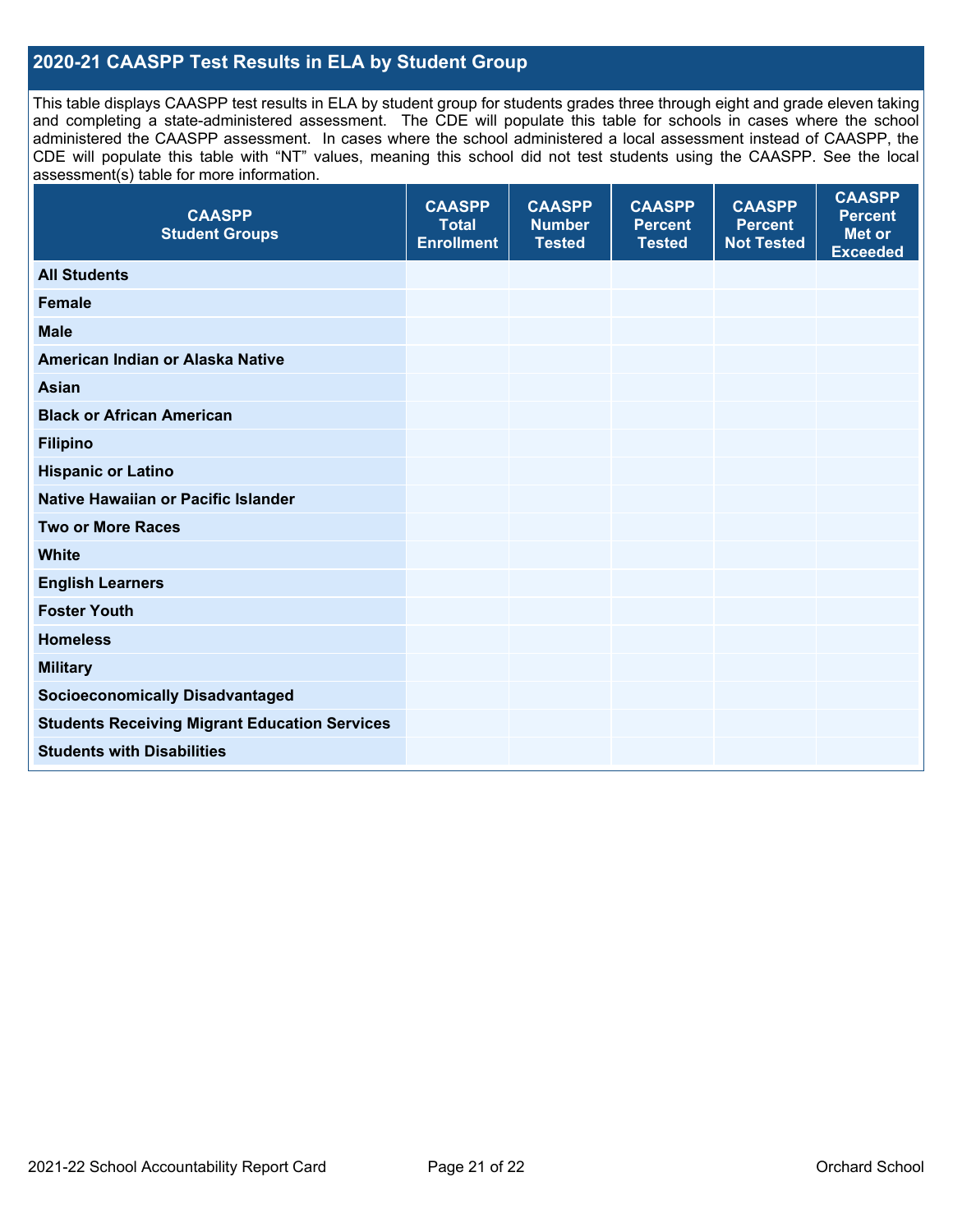### **2020-21 CAASPP Test Results in ELA by Student Group**

This table displays CAASPP test results in ELA by student group for students grades three through eight and grade eleven taking and completing a state-administered assessment. The CDE will populate this table for schools in cases where the school administered the CAASPP assessment. In cases where the school administered a local assessment instead of CAASPP, the CDE will populate this table with "NT" values, meaning this school did not test students using the CAASPP. See the local assessment(s) table for more information.

| <b>CAASPP</b><br><b>Student Groups</b>               | <b>CAASPP</b><br><b>Total</b><br><b>Enrollment</b> | <b>CAASPP</b><br><b>Number</b><br><b>Tested</b> | <b>CAASPP</b><br><b>Percent</b><br><b>Tested</b> | <b>CAASPP</b><br><b>Percent</b><br><b>Not Tested</b> | <b>CAASPP</b><br><b>Percent</b><br><b>Met or</b><br><b>Exceeded</b> |
|------------------------------------------------------|----------------------------------------------------|-------------------------------------------------|--------------------------------------------------|------------------------------------------------------|---------------------------------------------------------------------|
| <b>All Students</b>                                  |                                                    |                                                 |                                                  |                                                      |                                                                     |
| <b>Female</b>                                        |                                                    |                                                 |                                                  |                                                      |                                                                     |
| <b>Male</b>                                          |                                                    |                                                 |                                                  |                                                      |                                                                     |
| American Indian or Alaska Native                     |                                                    |                                                 |                                                  |                                                      |                                                                     |
| <b>Asian</b>                                         |                                                    |                                                 |                                                  |                                                      |                                                                     |
| <b>Black or African American</b>                     |                                                    |                                                 |                                                  |                                                      |                                                                     |
| <b>Filipino</b>                                      |                                                    |                                                 |                                                  |                                                      |                                                                     |
| <b>Hispanic or Latino</b>                            |                                                    |                                                 |                                                  |                                                      |                                                                     |
| Native Hawaiian or Pacific Islander                  |                                                    |                                                 |                                                  |                                                      |                                                                     |
| <b>Two or More Races</b>                             |                                                    |                                                 |                                                  |                                                      |                                                                     |
| <b>White</b>                                         |                                                    |                                                 |                                                  |                                                      |                                                                     |
| <b>English Learners</b>                              |                                                    |                                                 |                                                  |                                                      |                                                                     |
| <b>Foster Youth</b>                                  |                                                    |                                                 |                                                  |                                                      |                                                                     |
| <b>Homeless</b>                                      |                                                    |                                                 |                                                  |                                                      |                                                                     |
| <b>Military</b>                                      |                                                    |                                                 |                                                  |                                                      |                                                                     |
| <b>Socioeconomically Disadvantaged</b>               |                                                    |                                                 |                                                  |                                                      |                                                                     |
| <b>Students Receiving Migrant Education Services</b> |                                                    |                                                 |                                                  |                                                      |                                                                     |
| <b>Students with Disabilities</b>                    |                                                    |                                                 |                                                  |                                                      |                                                                     |